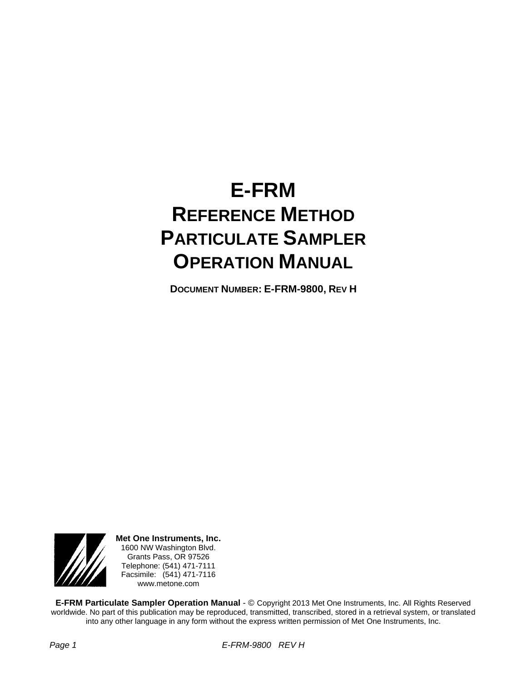# **E-FRM REFERENCE METHOD PARTICULATE SAMPLER OPERATION MANUAL**

**DOCUMENT NUMBER: E-FRM-9800, REV H**



**Met One Instruments, Inc.** 1600 NW Washington Blvd. Grants Pass, OR 97526 Telephone: (541) 471-7111 Facsimile: (541) 471-7116 www.metone.com

**E-FRM Particulate Sampler Operation Manual** - © Copyright 2013 Met One Instruments, Inc. All Rights Reserved worldwide. No part of this publication may be reproduced, transmitted, transcribed, stored in a retrieval system, or translated into any other language in any form without the express written permission of Met One Instruments, Inc.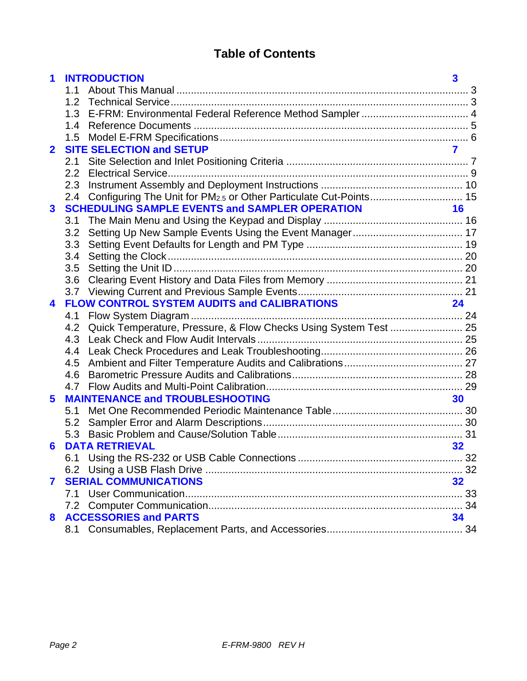# **Table of Contents**

| 1                       | <b>INTRODUCTION</b>                                                     | $\overline{\mathbf{3}}$ |  |
|-------------------------|-------------------------------------------------------------------------|-------------------------|--|
|                         | 1.1                                                                     |                         |  |
|                         | 1.2 <sub>1</sub>                                                        |                         |  |
|                         |                                                                         |                         |  |
|                         | 1.4                                                                     |                         |  |
|                         | 1.5                                                                     |                         |  |
| $\overline{\mathbf{2}}$ | <b>SITE SELECTION and SETUP</b>                                         | $\overline{\mathbf{z}}$ |  |
|                         |                                                                         |                         |  |
|                         | 2.2                                                                     |                         |  |
|                         | 2.3                                                                     |                         |  |
|                         | 2.4<br><b>SCHEDULING SAMPLE EVENTS and SAMPLER OPERATION</b>            | 16                      |  |
| $\mathbf{3}$            | 3.1                                                                     |                         |  |
|                         | 3.2                                                                     |                         |  |
|                         | 3.3                                                                     |                         |  |
|                         | 3.4                                                                     |                         |  |
|                         | 3.5                                                                     |                         |  |
|                         | 3.6                                                                     |                         |  |
|                         |                                                                         |                         |  |
| $\blacktriangle$        | <b>FLOW CONTROL SYSTEM AUDITS and CALIBRATIONS</b>                      | 24                      |  |
|                         | 4.1                                                                     |                         |  |
|                         | Quick Temperature, Pressure, & Flow Checks Using System Test  25<br>4.2 |                         |  |
|                         | 4.3                                                                     |                         |  |
|                         | 4.4                                                                     |                         |  |
|                         | 4.5                                                                     |                         |  |
|                         | 4.6                                                                     |                         |  |
|                         |                                                                         |                         |  |
| $\overline{\mathbf{5}}$ | <b>MAINTENANCE and TROUBLESHOOTING</b>                                  | 30                      |  |
|                         | 5.1                                                                     |                         |  |
|                         | 5.2                                                                     |                         |  |
|                         | 5.3                                                                     |                         |  |
| 6                       | <b>DATA RETRIEVAL</b>                                                   | 32                      |  |
|                         | 6.1                                                                     |                         |  |
|                         |                                                                         |                         |  |
| 7                       | <b>SERIAL COMMUNICATIONS</b>                                            | 32                      |  |
|                         |                                                                         |                         |  |
|                         |                                                                         |                         |  |
| 8                       | <b>ACCESSORIES and PARTS</b>                                            | 34                      |  |
|                         | 8.1                                                                     |                         |  |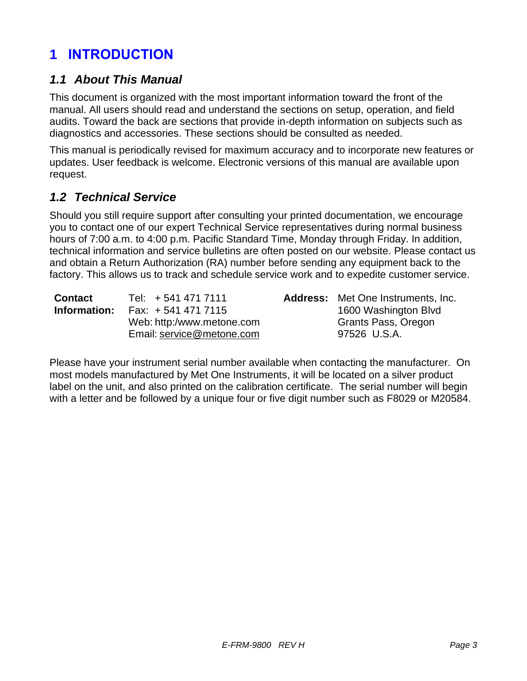# **1 INTRODUCTION**

### *1.1 About This Manual*

This document is organized with the most important information toward the front of the manual. All users should read and understand the sections on setup, operation, and field audits. Toward the back are sections that provide in-depth information on subjects such as diagnostics and accessories. These sections should be consulted as needed.

This manual is periodically revised for maximum accuracy and to incorporate new features or updates. User feedback is welcome. Electronic versions of this manual are available upon request.

### <span id="page-2-0"></span>*1.2 Technical Service*

Should you still require support after consulting your printed documentation, we encourage you to contact one of our expert Technical Service representatives during normal business hours of 7:00 a.m. to 4:00 p.m. Pacific Standard Time, Monday through Friday. In addition, technical information and service bulletins are often posted on our website. Please contact us and obtain a Return Authorization (RA) number before sending any equipment back to the factory. This allows us to track and schedule service work and to expedite customer service.

| <b>Contact</b> | Tel: +541 471 7111        | <b>Address:</b> Met One Instruments, Inc. |
|----------------|---------------------------|-------------------------------------------|
| Information:   | Fax: $+5414717115$        | 1600 Washington Blvd                      |
|                | Web: http:/www.metone.com | Grants Pass, Oregon                       |
|                | Email: service@metone.com | 97526 U.S.A.                              |

Please have your instrument serial number available when contacting the manufacturer. On most models manufactured by Met One Instruments, it will be located on a silver product label on the unit, and also printed on the calibration certificate. The serial number will begin with a letter and be followed by a unique four or five digit number such as F8029 or M20584.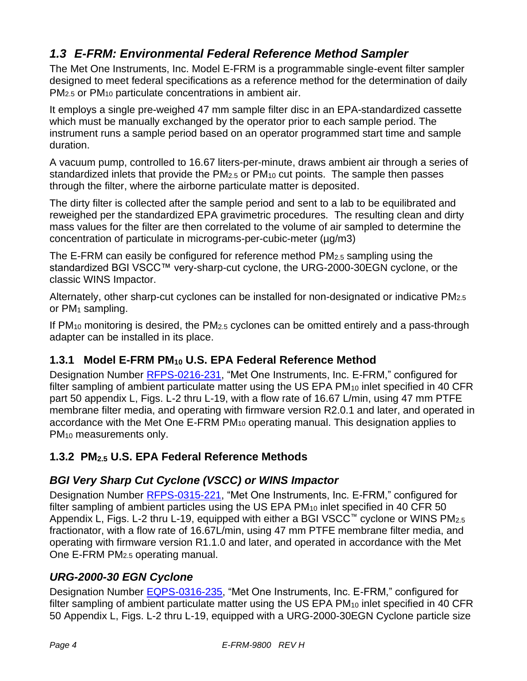# <span id="page-3-0"></span>*1.3 E-FRM: Environmental Federal Reference Method Sampler*

The Met One Instruments, Inc. Model E-FRM is a programmable single-event filter sampler designed to meet federal specifications as a reference method for the determination of daily PM2.5 or PM<sup>10</sup> particulate concentrations in ambient air.

It employs a single pre-weighed 47 mm sample filter disc in an EPA-standardized cassette which must be manually exchanged by the operator prior to each sample period. The instrument runs a sample period based on an operator programmed start time and sample duration.

A vacuum pump, controlled to 16.67 liters-per-minute, draws ambient air through a series of standardized inlets that provide the  $PM<sub>2.5</sub>$  or  $PM<sub>10</sub>$  cut points. The sample then passes through the filter, where the airborne particulate matter is deposited.

The dirty filter is collected after the sample period and sent to a lab to be equilibrated and reweighed per the standardized EPA gravimetric procedures. The resulting clean and dirty mass values for the filter are then correlated to the volume of air sampled to determine the concentration of particulate in micrograms-per-cubic-meter (µg/m3)

The E-FRM can easily be configured for reference method PM<sub>2.5</sub> sampling using the standardized BGI VSCC™ very-sharp-cut cyclone, the URG-2000-30EGN cyclone, or the classic WINS Impactor.

Alternately, other sharp-cut cyclones can be installed for non-designated or indicative PM2.5 or  $PM_1$  sampling.

If  $PM_{10}$  monitoring is desired, the  $PM_{2.5}$  cyclones can be omitted entirely and a pass-through adapter can be installed in its place.

# **1.3.1 Model E-FRM PM<sup>10</sup> U.S. EPA Federal Reference Method**

Designation Number [RFPS-0216-231,](https://www.federalregister.gov/articles/2016/04/28/2016-10006/office-of-research-and-development-ambient-air-monitoring-reference-and-equivalent-methods#p-11) "Met One Instruments, Inc. E-FRM," configured for filter sampling of ambient particulate matter using the US EPA PM<sub>10</sub> inlet specified in 40 CFR part 50 appendix L, Figs. L-2 thru L-19, with a flow rate of 16.67 L/min, using 47 mm PTFE membrane filter media, and operating with firmware version R2.0.1 and later, and operated in accordance with the Met One E-FRM PM<sup>10</sup> operating manual. This designation applies to PM<sup>10</sup> measurements only.

# **1.3.2 PM2.5 U.S. EPA Federal Reference Methods**

# *BGI Very Sharp Cut Cyclone (VSCC) or WINS Impactor*

Designation Number [RFPS-0315-221,](https://www.federalregister.gov/articles/2015/06/05/2015-13800/office-of-research-and-development-ambient-air-monitoring-reference-and-equivalent-methods#p-8) "Met One Instruments, Inc. E-FRM," configured for filter sampling of ambient particles using the US EPA  $PM_{10}$  inlet specified in 40 CFR 50 Appendix L, Figs. L-2 thru L-19, equipped with either a BGI VSCC™ cyclone or WINS PM2.5 fractionator, with a flow rate of 16.67L/min, using 47 mm PTFE membrane filter media, and operating with firmware version R1.1.0 and later, and operated in accordance with the Met One E-FRM PM2.5 operating manual.

# *URG-2000-30 EGN Cyclone*

Designation Number [EQPS-0316-235,](https://www.federalregister.gov/articles/2016/04/28/2016-10006/office-of-research-and-development-ambient-air-monitoring-reference-and-equivalent-methods#p-15) "Met One Instruments, Inc. E-FRM," configured for filter sampling of ambient particulate matter using the US EPA PM<sub>10</sub> inlet specified in 40 CFR 50 Appendix L, Figs. L-2 thru L-19, equipped with a URG-2000-30EGN Cyclone particle size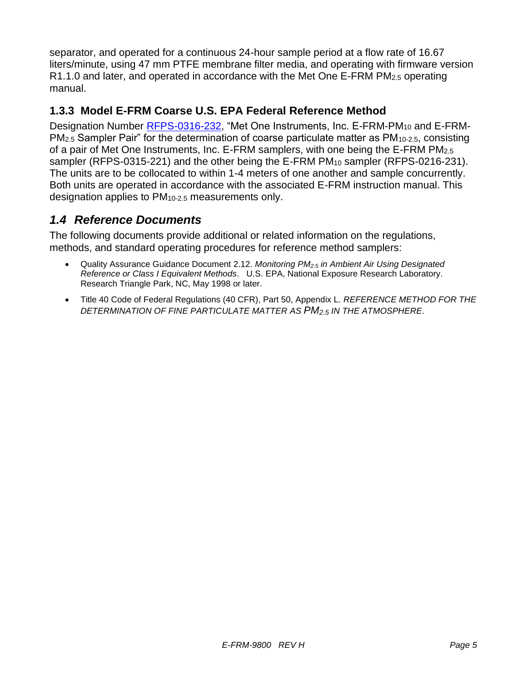separator, and operated for a continuous 24-hour sample period at a flow rate of 16.67 liters/minute, using 47 mm PTFE membrane filter media, and operating with firmware version R1.1.0 and later, and operated in accordance with the Met One E-FRM PM2.5 operating manual.

#### **1.3.3 Model E-FRM Coarse U.S. EPA Federal Reference Method**

Designation Number [RFPS-0316-232,](https://www.federalregister.gov/articles/2016/04/28/2016-10006/office-of-research-and-development-ambient-air-monitoring-reference-and-equivalent-methods#p-13) "Met One Instruments, Inc. E-FRM-PM<sub>10</sub> and E-FRM-PM2.5 Sampler Pair" for the determination of coarse particulate matter as PM10-2.5, consisting of a pair of Met One Instruments, Inc. E-FRM samplers, with one being the E-FRM PM2.5 sampler (RFPS-0315-221) and the other being the E-FRM PM<sub>10</sub> sampler (RFPS-0216-231). The units are to be collocated to within 1-4 meters of one another and sample concurrently. Both units are operated in accordance with the associated E-FRM instruction manual. This designation applies to PM10-2.5 measurements only.

### *1.4 Reference Documents*

The following documents provide additional or related information on the regulations, methods, and standard operating procedures for reference method samplers:

- Quality Assurance Guidance Document 2.12. *Monitoring PM2.5 in Ambient Air Using Designated Reference or Class I Equivalent Methods*. U.S. EPA, National Exposure Research Laboratory. Research Triangle Park, NC, May 1998 or later.
- Title 40 Code of Federal Regulations (40 CFR), Part 50, Appendix L. *REFERENCE METHOD FOR THE DETERMINATION OF FINE PARTICULATE MATTER AS PM2.5 IN THE ATMOSPHERE*.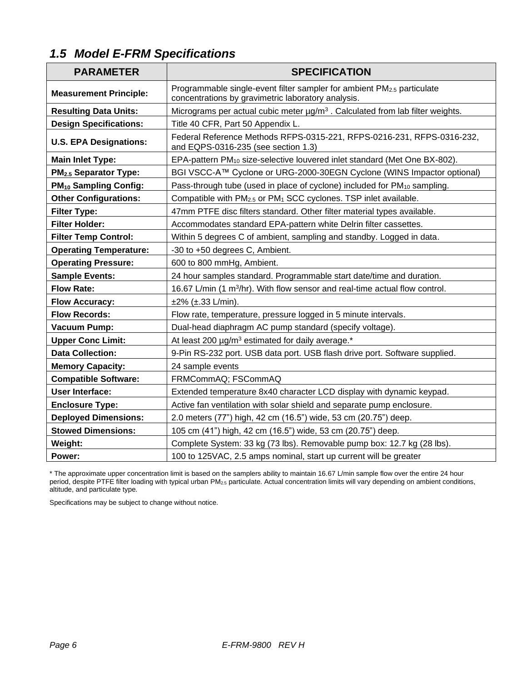# *1.5 Model E-FRM Specifications*

| <b>PARAMETER</b>                  | <b>SPECIFICATION</b>                                                                                                                     |
|-----------------------------------|------------------------------------------------------------------------------------------------------------------------------------------|
| <b>Measurement Principle:</b>     | Programmable single-event filter sampler for ambient PM <sub>2.5</sub> particulate<br>concentrations by gravimetric laboratory analysis. |
| <b>Resulting Data Units:</b>      | Micrograms per actual cubic meter µg/m <sup>3</sup> . Calculated from lab filter weights.                                                |
| <b>Design Specifications:</b>     | Title 40 CFR, Part 50 Appendix L.                                                                                                        |
| <b>U.S. EPA Designations:</b>     | Federal Reference Methods RFPS-0315-221, RFPS-0216-231, RFPS-0316-232,<br>and EQPS-0316-235 (see section 1.3)                            |
| <b>Main Inlet Type:</b>           | EPA-pattern PM <sub>10</sub> size-selective louvered inlet standard (Met One BX-802).                                                    |
| PM <sub>2.5</sub> Separator Type: | BGI VSCC-A™ Cyclone or URG-2000-30EGN Cyclone (WINS Impactor optional)                                                                   |
| PM <sub>10</sub> Sampling Config: | Pass-through tube (used in place of cyclone) included for PM <sub>10</sub> sampling.                                                     |
| <b>Other Configurations:</b>      | Compatible with PM <sub>2.5</sub> or PM <sub>1</sub> SCC cyclones. TSP inlet available.                                                  |
| <b>Filter Type:</b>               | 47mm PTFE disc filters standard. Other filter material types available.                                                                  |
| <b>Filter Holder:</b>             | Accommodates standard EPA-pattern white Delrin filter cassettes.                                                                         |
| <b>Filter Temp Control:</b>       | Within 5 degrees C of ambient, sampling and standby. Logged in data.                                                                     |
| <b>Operating Temperature:</b>     | -30 to +50 degrees C, Ambient.                                                                                                           |
| <b>Operating Pressure:</b>        | 600 to 800 mmHg, Ambient.                                                                                                                |
| <b>Sample Events:</b>             | 24 hour samples standard. Programmable start date/time and duration.                                                                     |
| <b>Flow Rate:</b>                 | 16.67 L/min (1 m <sup>3</sup> /hr). With flow sensor and real-time actual flow control.                                                  |
| <b>Flow Accuracy:</b>             | $±2\%$ ( $±.33$ L/min).                                                                                                                  |
| <b>Flow Records:</b>              | Flow rate, temperature, pressure logged in 5 minute intervals.                                                                           |
| <b>Vacuum Pump:</b>               | Dual-head diaphragm AC pump standard (specify voltage).                                                                                  |
| <b>Upper Conc Limit:</b>          | At least 200 µg/m <sup>3</sup> estimated for daily average.*                                                                             |
| <b>Data Collection:</b>           | 9-Pin RS-232 port. USB data port. USB flash drive port. Software supplied.                                                               |
| <b>Memory Capacity:</b>           | 24 sample events                                                                                                                         |
| <b>Compatible Software:</b>       | FRMCommAQ; FSCommAQ                                                                                                                      |
| <b>User Interface:</b>            | Extended temperature 8x40 character LCD display with dynamic keypad.                                                                     |
| <b>Enclosure Type:</b>            | Active fan ventilation with solar shield and separate pump enclosure.                                                                    |
| <b>Deployed Dimensions:</b>       | 2.0 meters (77") high, 42 cm (16.5") wide, 53 cm (20.75") deep.                                                                          |
| <b>Stowed Dimensions:</b>         | 105 cm (41") high, 42 cm (16.5") wide, 53 cm (20.75") deep.                                                                              |
| Weight:                           | Complete System: 33 kg (73 lbs). Removable pump box: 12.7 kg (28 lbs).                                                                   |
| Power:                            | 100 to 125VAC, 2.5 amps nominal, start up current will be greater                                                                        |

\* The approximate upper concentration limit is based on the samplers ability to maintain 16.67 L/min sample flow over the entire 24 hour period, despite PTFE filter loading with typical urban PM<sub>2.5</sub> particulate. Actual concentration limits will vary depending on ambient conditions, altitude, and particulate type.

Specifications may be subject to change without notice.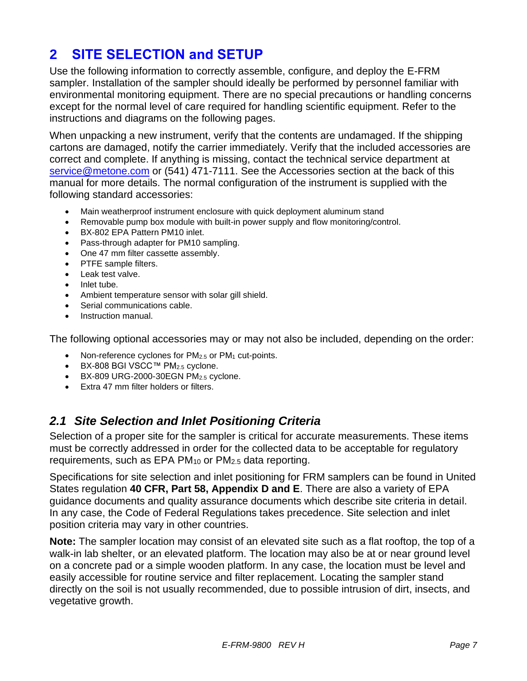# **2 SITE SELECTION and SETUP**

Use the following information to correctly assemble, configure, and deploy the E-FRM sampler. Installation of the sampler should ideally be performed by personnel familiar with environmental monitoring equipment. There are no special precautions or handling concerns except for the normal level of care required for handling scientific equipment. Refer to the instructions and diagrams on the following pages.

When unpacking a new instrument, verify that the contents are undamaged. If the shipping cartons are damaged, notify the carrier immediately. Verify that the included accessories are correct and complete. If anything is missing, contact the technical service department at [service@metone.com](mailto:service@metone.com) or (541) 471-7111. See the Accessories section at the back of this manual for more details. The normal configuration of the instrument is supplied with the following standard accessories:

- Main weatherproof instrument enclosure with quick deployment aluminum stand
- Removable pump box module with built-in power supply and flow monitoring/control.
- BX-802 EPA Pattern PM10 inlet.
- Pass-through adapter for PM10 sampling.
- One 47 mm filter cassette assembly.
- PTFE sample filters.
- Leak test valve.
- Inlet tube.
- Ambient temperature sensor with solar gill shield.
- Serial communications cable.
- Instruction manual.

The following optional accessories may or may not also be included, depending on the order:

- Non-reference cyclones for  $PM<sub>2.5</sub>$  or  $PM<sub>1</sub>$  cut-points.
- BX-808 BGI VSCC™ PM2.5 cyclone.
- BX-809 URG-2000-30EGN PM2.5 cyclone.
- Extra 47 mm filter holders or filters.

# *2.1 Site Selection and Inlet Positioning Criteria*

Selection of a proper site for the sampler is critical for accurate measurements. These items must be correctly addressed in order for the collected data to be acceptable for regulatory requirements, such as EPA PM<sup>10</sup> or PM2.5 data reporting.

Specifications for site selection and inlet positioning for FRM samplers can be found in United States regulation **40 CFR, Part 58, Appendix D and E**. There are also a variety of EPA guidance documents and quality assurance documents which describe site criteria in detail. In any case, the Code of Federal Regulations takes precedence. Site selection and inlet position criteria may vary in other countries.

**Note:** The sampler location may consist of an elevated site such as a flat rooftop, the top of a walk-in lab shelter, or an elevated platform. The location may also be at or near ground level on a concrete pad or a simple wooden platform. In any case, the location must be level and easily accessible for routine service and filter replacement. Locating the sampler stand directly on the soil is not usually recommended, due to possible intrusion of dirt, insects, and vegetative growth.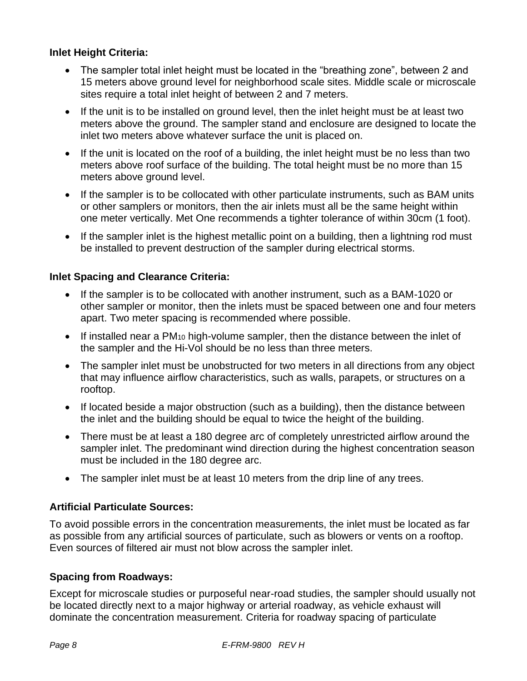#### **Inlet Height Criteria:**

- The sampler total inlet height must be located in the "breathing zone", between 2 and 15 meters above ground level for neighborhood scale sites. Middle scale or microscale sites require a total inlet height of between 2 and 7 meters.
- If the unit is to be installed on ground level, then the inlet height must be at least two meters above the ground. The sampler stand and enclosure are designed to locate the inlet two meters above whatever surface the unit is placed on.
- If the unit is located on the roof of a building, the inlet height must be no less than two meters above roof surface of the building. The total height must be no more than 15 meters above ground level.
- If the sampler is to be collocated with other particulate instruments, such as BAM units or other samplers or monitors, then the air inlets must all be the same height within one meter vertically. Met One recommends a tighter tolerance of within 30cm (1 foot).
- If the sampler inlet is the highest metallic point on a building, then a lightning rod must be installed to prevent destruction of the sampler during electrical storms.

#### **Inlet Spacing and Clearance Criteria:**

- If the sampler is to be collocated with another instrument, such as a BAM-1020 or other sampler or monitor, then the inlets must be spaced between one and four meters apart. Two meter spacing is recommended where possible.
- If installed near a  $PM_{10}$  high-volume sampler, then the distance between the inlet of the sampler and the Hi-Vol should be no less than three meters.
- The sampler inlet must be unobstructed for two meters in all directions from any object that may influence airflow characteristics, such as walls, parapets, or structures on a rooftop.
- If located beside a major obstruction (such as a building), then the distance between the inlet and the building should be equal to twice the height of the building.
- There must be at least a 180 degree arc of completely unrestricted airflow around the sampler inlet. The predominant wind direction during the highest concentration season must be included in the 180 degree arc.
- The sampler inlet must be at least 10 meters from the drip line of any trees.

#### **Artificial Particulate Sources:**

To avoid possible errors in the concentration measurements, the inlet must be located as far as possible from any artificial sources of particulate, such as blowers or vents on a rooftop. Even sources of filtered air must not blow across the sampler inlet.

#### **Spacing from Roadways:**

Except for microscale studies or purposeful near-road studies, the sampler should usually not be located directly next to a major highway or arterial roadway, as vehicle exhaust will dominate the concentration measurement. Criteria for roadway spacing of particulate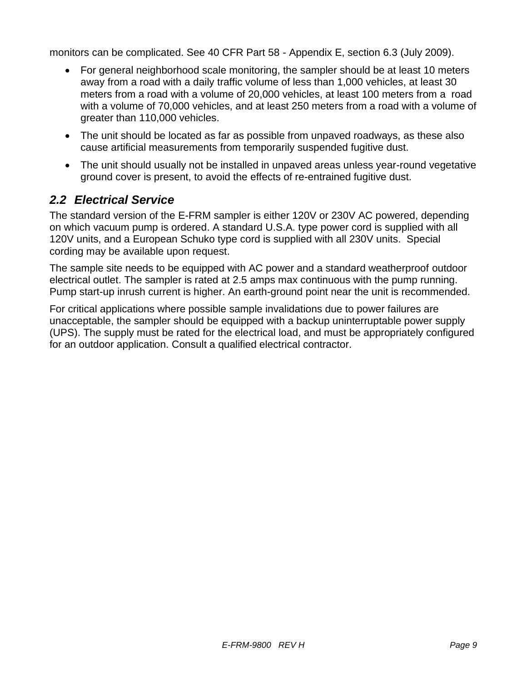monitors can be complicated. See 40 CFR Part 58 - Appendix E, section 6.3 (July 2009).

- For general neighborhood scale monitoring, the sampler should be at least 10 meters away from a road with a daily traffic volume of less than 1,000 vehicles, at least 30 meters from a road with a volume of 20,000 vehicles, at least 100 meters from a road with a volume of 70,000 vehicles, and at least 250 meters from a road with a volume of greater than 110,000 vehicles.
- The unit should be located as far as possible from unpaved roadways, as these also cause artificial measurements from temporarily suspended fugitive dust.
- The unit should usually not be installed in unpaved areas unless year-round vegetative ground cover is present, to avoid the effects of re-entrained fugitive dust.

# *2.2 Electrical Service*

The standard version of the E-FRM sampler is either 120V or 230V AC powered, depending on which vacuum pump is ordered. A standard U.S.A. type power cord is supplied with all 120V units, and a European Schuko type cord is supplied with all 230V units. Special cording may be available upon request.

The sample site needs to be equipped with AC power and a standard weatherproof outdoor electrical outlet. The sampler is rated at 2.5 amps max continuous with the pump running. Pump start-up inrush current is higher. An earth-ground point near the unit is recommended.

For critical applications where possible sample invalidations due to power failures are unacceptable, the sampler should be equipped with a backup uninterruptable power supply (UPS). The supply must be rated for the electrical load, and must be appropriately configured for an outdoor application. Consult a qualified electrical contractor.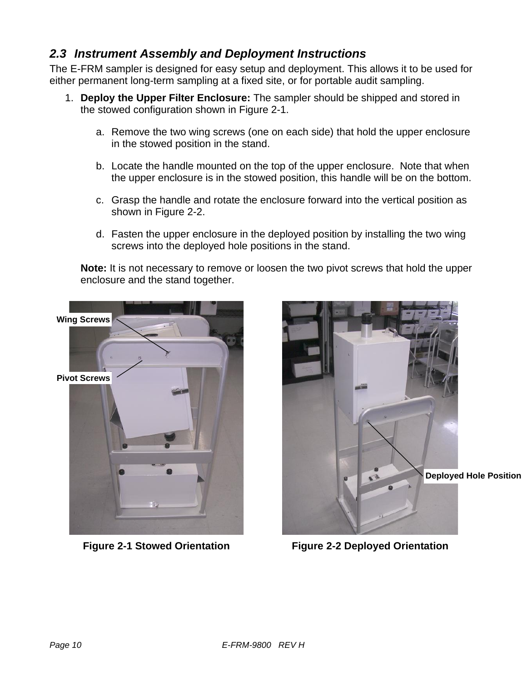# *2.3 Instrument Assembly and Deployment Instructions*

The E-FRM sampler is designed for easy setup and deployment. This allows it to be used for either permanent long-term sampling at a fixed site, or for portable audit sampling.

- 1. **Deploy the Upper Filter Enclosure:** The sampler should be shipped and stored in the stowed configuration shown in [Figure 2-1](#page-9-0).
	- a. Remove the two wing screws (one on each side) that hold the upper enclosure in the stowed position in the stand.
	- b. Locate the handle mounted on the top of the upper enclosure. Note that when the upper enclosure is in the stowed position, this handle will be on the bottom.
	- c. Grasp the handle and rotate the enclosure forward into the vertical position as shown in [Figure 2-2](#page-9-1).
	- d. Fasten the upper enclosure in the deployed position by installing the two wing screws into the deployed hole positions in the stand.

**Note:** It is not necessary to remove or loosen the two pivot screws that hold the upper enclosure and the stand together.

<span id="page-9-0"></span>

<span id="page-9-1"></span>

**Figure 2-1 Stowed Orientation Figure 2-2 Deployed Orientation**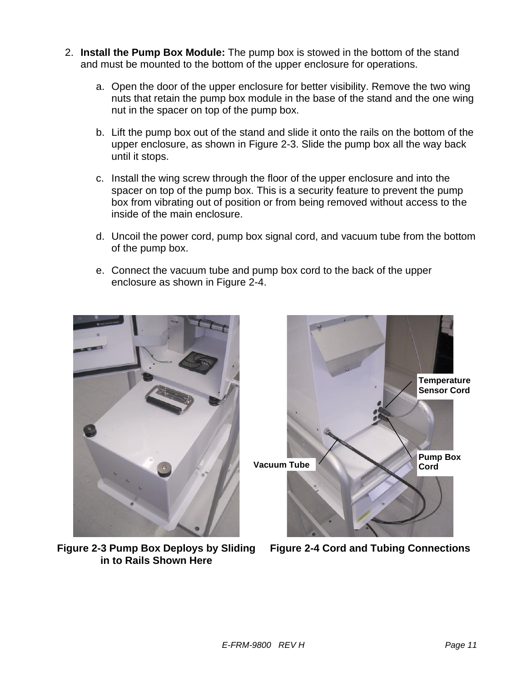- 2. **Install the Pump Box Module:** The pump box is stowed in the bottom of the stand and must be mounted to the bottom of the upper enclosure for operations.
	- a. Open the door of the upper enclosure for better visibility. Remove the two wing nuts that retain the pump box module in the base of the stand and the one wing nut in the spacer on top of the pump box.
	- b. Lift the pump box out of the stand and slide it onto the rails on the bottom of the upper enclosure, as shown in [Figure 2-3](#page-10-0). Slide the pump box all the way back until it stops.
	- c. Install the wing screw through the floor of the upper enclosure and into the spacer on top of the pump box. This is a security feature to prevent the pump box from vibrating out of position or from being removed without access to the inside of the main enclosure.
	- d. Uncoil the power cord, pump box signal cord, and vacuum tube from the bottom of the pump box.
	- e. Connect the vacuum tube and pump box cord to the back of the upper enclosure as shown in [Figure 2-4](#page-10-1).

<span id="page-10-0"></span>

**Figure 2-3 Pump Box Deploys by Sliding in to Rails Shown Here**

<span id="page-10-1"></span>

**Figure 2-4 Cord and Tubing Connections**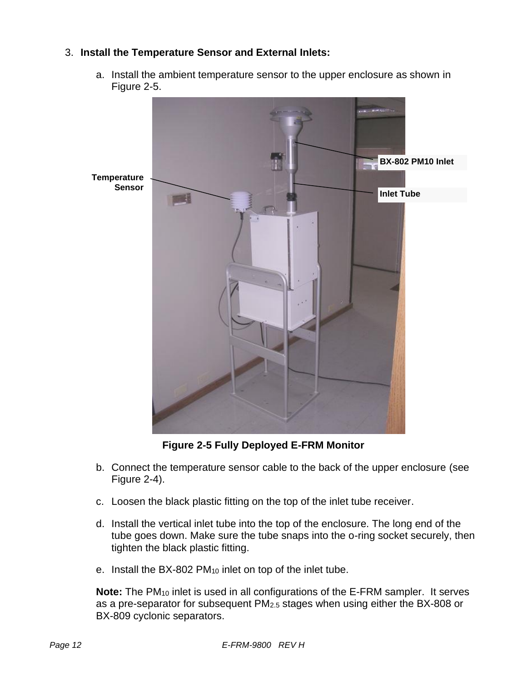#### 3. **Install the Temperature Sensor and External Inlets:**

a. Install the ambient temperature sensor to the upper enclosure as shown in [Figure 2-5](#page-11-0).



**Figure 2-5 Fully Deployed E-FRM Monitor**

- <span id="page-11-0"></span>b. Connect the temperature sensor cable to the back of the upper enclosure (see [Figure 2-4](#page-10-1)).
- c. Loosen the black plastic fitting on the top of the inlet tube receiver.
- d. Install the vertical inlet tube into the top of the enclosure. The long end of the tube goes down. Make sure the tube snaps into the o-ring socket securely, then tighten the black plastic fitting.
- e. Install the BX-802 PM<sup>10</sup> inlet on top of the inlet tube.

**Note:** The PM<sup>10</sup> inlet is used in all configurations of the E-FRM sampler. It serves as a pre-separator for subsequent PM2.5 stages when using either the BX-808 or BX-809 cyclonic separators.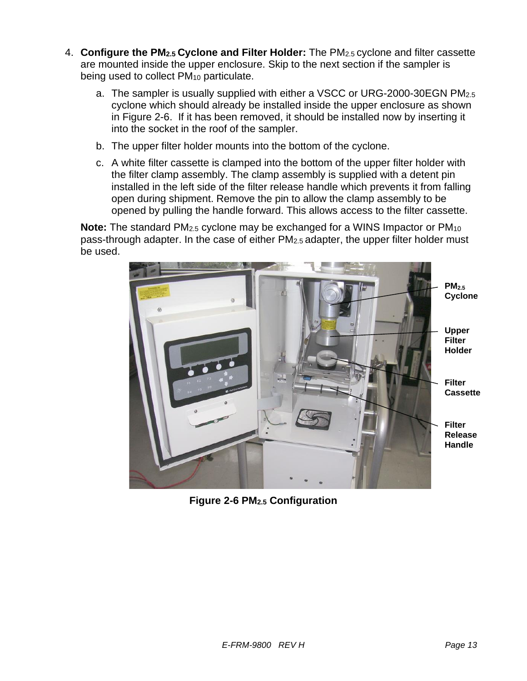- 4. **Configure the PM2.5 Cyclone and Filter Holder:** The PM2.5 cyclone and filter cassette are mounted inside the upper enclosure. Skip to the next section if the sampler is being used to collect PM<sup>10</sup> particulate.
	- a. The sampler is usually supplied with either a VSCC or URG-2000-30EGN PM2.5 cyclone which should already be installed inside the upper enclosure as shown in [Figure 2-6](#page-12-0). If it has been removed, it should be installed now by inserting it into the socket in the roof of the sampler.
	- b. The upper filter holder mounts into the bottom of the cyclone.
	- c. A white filter cassette is clamped into the bottom of the upper filter holder with the filter clamp assembly. The clamp assembly is supplied with a detent pin installed in the left side of the filter release handle which prevents it from falling open during shipment. Remove the pin to allow the clamp assembly to be opened by pulling the handle forward. This allows access to the filter cassette.

**Note:** The standard PM2.5 cyclone may be exchanged for a WINS Impactor or PM<sup>10</sup> pass-through adapter. In the case of either PM2.5 adapter, the upper filter holder must be used.

<span id="page-12-0"></span>

**Figure 2-6 PM2.5 Configuration**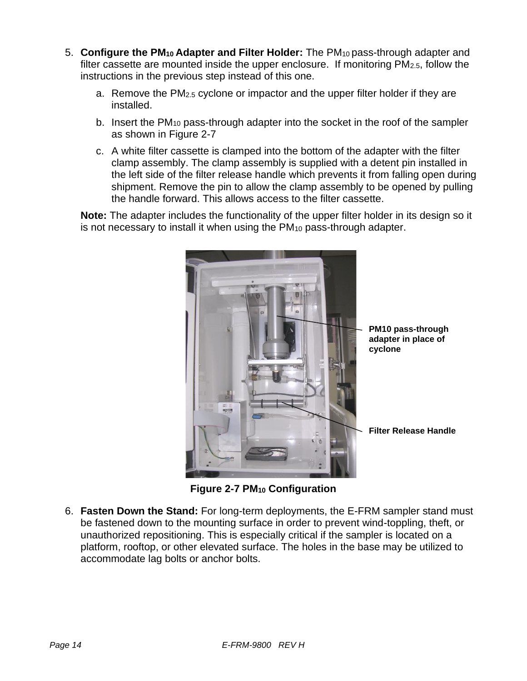- 5. **Configure the PM<sup>10</sup> Adapter and Filter Holder:** The PM10 pass-through adapter and filter cassette are mounted inside the upper enclosure. If monitoring PM2.5, follow the instructions in the previous step instead of this one.
	- a. Remove the PM2.5 cyclone or impactor and the upper filter holder if they are installed.
	- b. Insert the PM<sub>10</sub> pass-through adapter into the socket in the roof of the sampler as shown in [Figure 2-7](#page-13-0)
	- c. A white filter cassette is clamped into the bottom of the adapter with the filter clamp assembly. The clamp assembly is supplied with a detent pin installed in the left side of the filter release handle which prevents it from falling open during shipment. Remove the pin to allow the clamp assembly to be opened by pulling the handle forward. This allows access to the filter cassette.

**Note:** The adapter includes the functionality of the upper filter holder in its design so it is not necessary to install it when using the PM<sub>10</sub> pass-through adapter.



**PM10 pass-through adapter in place of cyclone**

**Figure 2-7 PM<sup>10</sup> Configuration**

<span id="page-13-0"></span>6. **Fasten Down the Stand:** For long-term deployments, the E-FRM sampler stand must be fastened down to the mounting surface in order to prevent wind-toppling, theft, or unauthorized repositioning. This is especially critical if the sampler is located on a platform, rooftop, or other elevated surface. The holes in the base may be utilized to accommodate lag bolts or anchor bolts.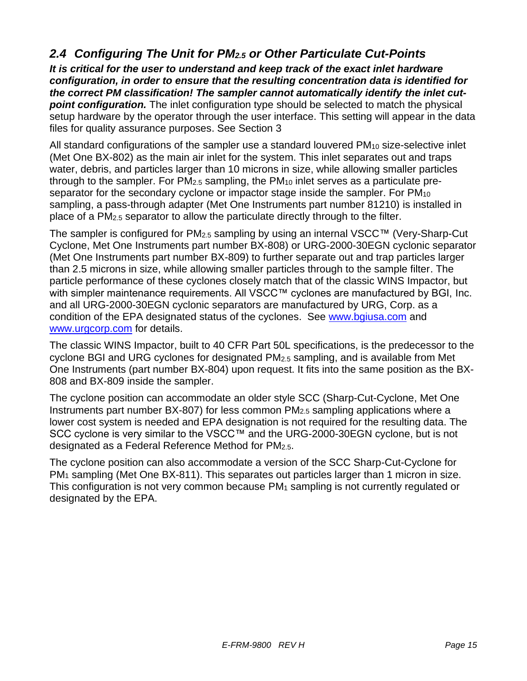# *2.4 Configuring The Unit for PM2.5 or Other Particulate Cut-Points*

*It is critical for the user to understand and keep track of the exact inlet hardware configuration, in order to ensure that the resulting concentration data is identified for the correct PM classification! The sampler cannot automatically identify the inlet cut***point configuration.** The inlet configuration type should be selected to match the physical setup hardware by the operator through the user interface. This setting will appear in the data files for quality assurance purposes. See Section [3](#page-15-0)

All standard configurations of the sampler use a standard louvered PM<sub>10</sub> size-selective inlet (Met One BX-802) as the main air inlet for the system. This inlet separates out and traps water, debris, and particles larger than 10 microns in size, while allowing smaller particles through to the sampler. For PM2.5 sampling, the PM<sup>10</sup> inlet serves as a particulate preseparator for the secondary cyclone or impactor stage inside the sampler. For PM<sup>10</sup> sampling, a pass-through adapter (Met One Instruments part number 81210) is installed in place of a PM2.5 separator to allow the particulate directly through to the filter.

The sampler is configured for PM2.5 sampling by using an internal VSCC™ (Very-Sharp-Cut Cyclone, Met One Instruments part number BX-808) or URG-2000-30EGN cyclonic separator (Met One Instruments part number BX-809) to further separate out and trap particles larger than 2.5 microns in size, while allowing smaller particles through to the sample filter. The particle performance of these cyclones closely match that of the classic WINS Impactor, but with simpler maintenance requirements. All VSCC™ cyclones are manufactured by BGI, Inc. and all URG-2000-30EGN cyclonic separators are manufactured by URG, Corp. as a condition of the EPA designated status of the cyclones. See [www.bgiusa.com](http://www.bgiusa.com/) and [www.urgcorp.com](http://www.urgcorp.com/) for details.

The classic WINS Impactor, built to 40 CFR Part 50L specifications, is the predecessor to the cyclone BGI and URG cyclones for designated PM2.5 sampling, and is available from Met One Instruments (part number BX-804) upon request. It fits into the same position as the BX-808 and BX-809 inside the sampler.

The cyclone position can accommodate an older style SCC (Sharp-Cut-Cyclone, Met One Instruments part number BX-807) for less common PM2.5 sampling applications where a lower cost system is needed and EPA designation is not required for the resulting data. The SCC cyclone is very similar to the VSCC™ and the URG-2000-30EGN cyclone, but is not designated as a Federal Reference Method for PM2.5.

The cyclone position can also accommodate a version of the SCC Sharp-Cut-Cyclone for PM<sup>1</sup> sampling (Met One BX-811). This separates out particles larger than 1 micron in size. This configuration is not very common because  $PM_1$  sampling is not currently regulated or designated by the EPA.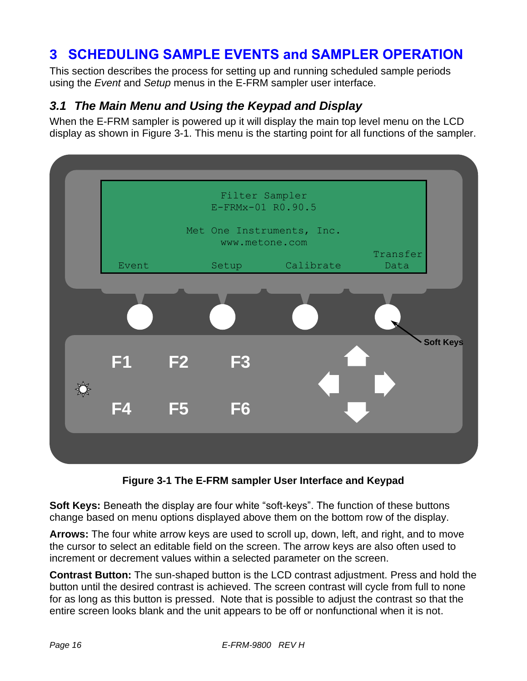# <span id="page-15-0"></span>**3 SCHEDULING SAMPLE EVENTS and SAMPLER OPERATION**

This section describes the process for setting up and running scheduled sample periods using the *Event* and *Setup* menus in the E-FRM sampler user interface.

# *3.1 The Main Menu and Using the Keypad and Display*

When the E-FRM sampler is powered up it will display the main top level menu on the LCD display as shown in [Figure 3-1](#page-15-1). This menu is the starting point for all functions of the sampler.



**Figure 3-1 The E-FRM sampler User Interface and Keypad**

<span id="page-15-1"></span>**Soft Keys:** Beneath the display are four white "soft-keys". The function of these buttons change based on menu options displayed above them on the bottom row of the display.

**Arrows:** The four white arrow keys are used to scroll up, down, left, and right, and to move the cursor to select an editable field on the screen. The arrow keys are also often used to increment or decrement values within a selected parameter on the screen.

**Contrast Button:** The sun-shaped button is the LCD contrast adjustment. Press and hold the button until the desired contrast is achieved. The screen contrast will cycle from full to none for as long as this button is pressed. Note that is possible to adjust the contrast so that the entire screen looks blank and the unit appears to be off or nonfunctional when it is not.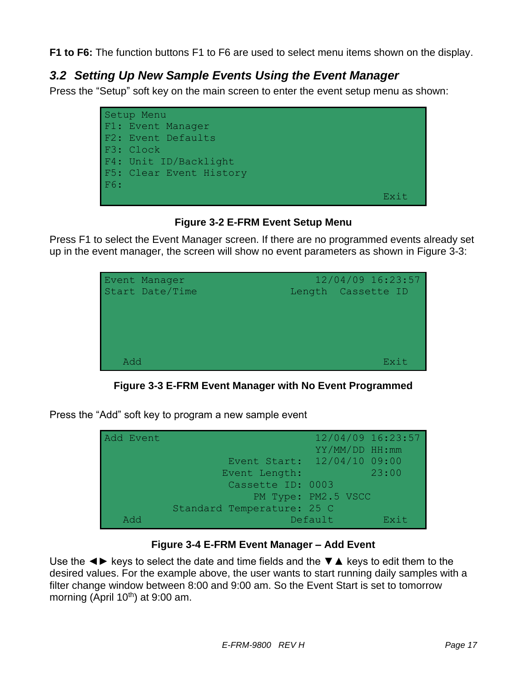**F1 to F6:** The function buttons F1 to F6 are used to select menu items shown on the display.

# *3.2 Setting Up New Sample Events Using the Event Manager*

Press the "Setup" soft key on the main screen to enter the event setup menu as shown:



**Figure 3-2 E-FRM Event Setup Menu**

Press F1 to select the Event Manager screen. If there are no programmed events already set up in the event manager, the screen will show no event parameters as shown in [Figure 3-3](#page-16-0):



**Figure 3-3 E-FRM Event Manager with No Event Programmed**

<span id="page-16-0"></span>Press the "Add" soft key to program a new sample event

| Add Event  |                             | YY/MM/DD HH:mm      | $12/04/09$ 16:23:57 |
|------------|-----------------------------|---------------------|---------------------|
|            | Event Start: 12/04/10 09:00 |                     |                     |
|            | Event Length:               |                     | 23:00               |
|            | Cassette ID: 0003           |                     |                     |
|            |                             | PM Type: PM2.5 VSCC |                     |
|            | Standard Temperature: 25 C  |                     |                     |
| <b>Add</b> |                             | Default             | Exit                |

#### **Figure 3-4 E-FRM Event Manager – Add Event**

Use the  $\blacktriangleleft\blacktriangleright$  keys to select the date and time fields and the  $\nabla$   $\blacktriangle$  keys to edit them to the desired values. For the example above, the user wants to start running daily samples with a filter change window between 8:00 and 9:00 am. So the Event Start is set to tomorrow morning (April  $10^{th}$ ) at 9:00 am.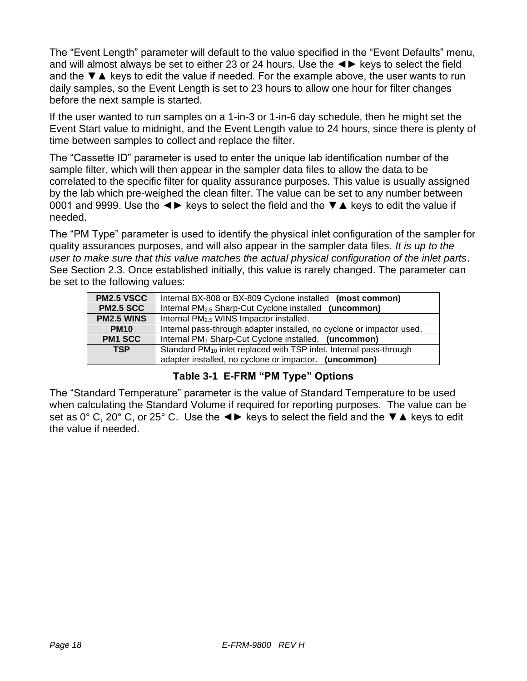The "Event Length" parameter will default to the value specified in the "Event Defaults" menu, and will almost always be set to either 23 or 24 hours. Use the ◄► keys to select the field and the ▼▲ keys to edit the value if needed. For the example above, the user wants to run daily samples, so the Event Length is set to 23 hours to allow one hour for filter changes before the next sample is started.

If the user wanted to run samples on a 1-in-3 or 1-in-6 day schedule, then he might set the Event Start value to midnight, and the Event Length value to 24 hours, since there is plenty of time between samples to collect and replace the filter.

The "Cassette ID" parameter is used to enter the unique lab identification number of the sample filter, which will then appear in the sampler data files to allow the data to be correlated to the specific filter for quality assurance purposes. This value is usually assigned by the lab which pre-weighed the clean filter. The value can be set to any number between 0001 and 9999. Use the  $\blacktriangleleft\blacktriangleright$  keys to select the field and the  $\nabla$   $\blacktriangle$  keys to edit the value if needed.

The "PM Type" parameter is used to identify the physical inlet configuration of the sampler for quality assurances purposes, and will also appear in the sampler data files. *It is up to the user to make sure that this value matches the actual physical configuration of the inlet parts*. See Section 2.3. Once established initially, this value is rarely changed. The parameter can be set to the following values:

| <b>PM2.5 VSCC</b>                                                                            | Internal BX-808 or BX-809 Cyclone installed<br>(most common)          |
|----------------------------------------------------------------------------------------------|-----------------------------------------------------------------------|
| <b>PM2.5 SCC</b>                                                                             | (uncommon)<br>Internal PM <sub>2.5</sub> Sharp-Cut Cyclone installed  |
| <b>PM2.5 WINS</b>                                                                            | Internal PM <sub>2.5</sub> WINS Impactor installed.                   |
| <b>PM10</b>                                                                                  | Internal pass-through adapter installed, no cyclone or impactor used. |
| <b>PM1 SCC</b>                                                                               | Internal PM <sub>1</sub> Sharp-Cut Cyclone installed. (uncommon)      |
| <b>TSP</b><br>Standard PM <sub>10</sub> inlet replaced with TSP inlet. Internal pass-through |                                                                       |
|                                                                                              | adapter installed, no cyclone or impactor. (uncommon)                 |

#### **Table 3-1 E-FRM "PM Type" Options**

<span id="page-17-0"></span>The "Standard Temperature" parameter is the value of Standard Temperature to be used when calculating the Standard Volume if required for reporting purposes. The value can be set as 0° C, 20° C, or 25° C. Use the  $\blacktriangleleft\blacktriangleright$  keys to select the field and the  $\nabla\blacktriangle$  keys to edit the value if needed.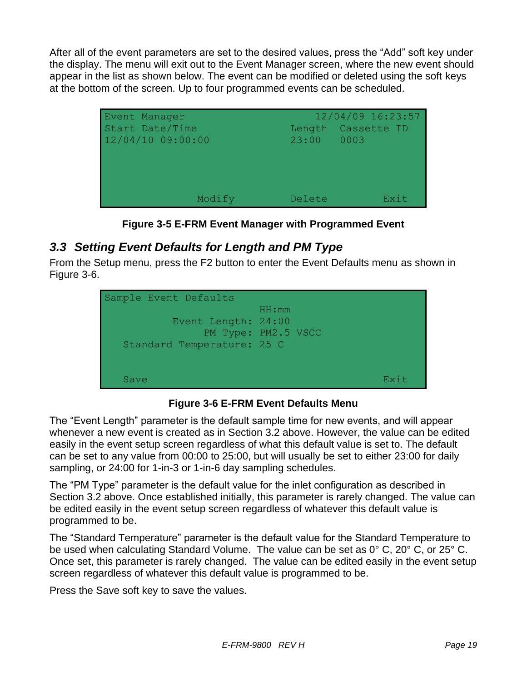After all of the event parameters are set to the desired values, press the "Add" soft key under the display. The menu will exit out to the Event Manager screen, where the new event should appear in the list as shown below. The event can be modified or deleted using the soft keys at the bottom of the screen. Up to four programmed events can be scheduled.



**Figure 3-5 E-FRM Event Manager with Programmed Event**

# *3.3 Setting Event Defaults for Length and PM Type*

From the Setup menu, press the F2 button to enter the Event Defaults menu as shown in [Figure 3-6](#page-18-0).



**Figure 3-6 E-FRM Event Defaults Menu**

<span id="page-18-0"></span>The "Event Length" parameter is the default sample time for new events, and will appear whenever a new event is created as in Section 3.2 above. However, the value can be edited easily in the event setup screen regardless of what this default value is set to. The default can be set to any value from 00:00 to 25:00, but will usually be set to either 23:00 for daily sampling, or 24:00 for 1-in-3 or 1-in-6 day sampling schedules.

The "PM Type" parameter is the default value for the inlet configuration as described in Section 3.2 above. Once established initially, this parameter is rarely changed. The value can be edited easily in the event setup screen regardless of whatever this default value is programmed to be.

The "Standard Temperature" parameter is the default value for the Standard Temperature to be used when calculating Standard Volume. The value can be set as 0° C, 20° C, or 25° C. Once set, this parameter is rarely changed. The value can be edited easily in the event setup screen regardless of whatever this default value is programmed to be.

Press the Save soft key to save the values.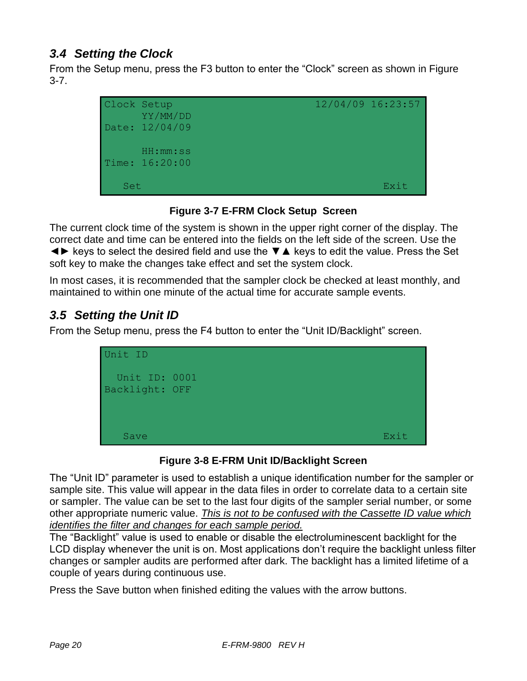# *3.4 Setting the Clock*

From the Setup menu, press the F3 button to enter the "Clock" screen as shown in [Figure](#page-19-0)  [3-7](#page-19-0).



**Figure 3-7 E-FRM Clock Setup Screen**

<span id="page-19-0"></span>The current clock time of the system is shown in the upper right corner of the display. The correct date and time can be entered into the fields on the left side of the screen. Use the ◄► keys to select the desired field and use the ▼▲ keys to edit the value. Press the Set soft key to make the changes take effect and set the system clock.

In most cases, it is recommended that the sampler clock be checked at least monthly, and maintained to within one minute of the actual time for accurate sample events.

# *3.5 Setting the Unit ID*

From the Setup menu, press the F4 button to enter the "Unit ID/Backlight" screen.



#### **Figure 3-8 E-FRM Unit ID/Backlight Screen**

The "Unit ID" parameter is used to establish a unique identification number for the sampler or sample site. This value will appear in the data files in order to correlate data to a certain site or sampler. The value can be set to the last four digits of the sampler serial number, or some other appropriate numeric value. *This is not to be confused with the Cassette ID value which identifies the filter and changes for each sample period.*

The "Backlight" value is used to enable or disable the electroluminescent backlight for the LCD display whenever the unit is on. Most applications don't require the backlight unless filter changes or sampler audits are performed after dark. The backlight has a limited lifetime of a couple of years during continuous use.

Press the Save button when finished editing the values with the arrow buttons.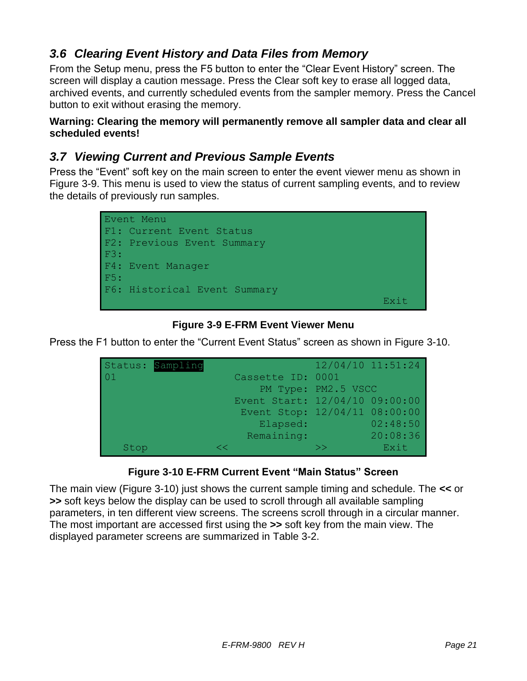# *3.6 Clearing Event History and Data Files from Memory*

From the Setup menu, press the F5 button to enter the "Clear Event History" screen. The screen will display a caution message. Press the Clear soft key to erase all logged data, archived events, and currently scheduled events from the sampler memory. Press the Cancel button to exit without erasing the memory.

**Warning: Clearing the memory will permanently remove all sampler data and clear all scheduled events!**

### *3.7 Viewing Current and Previous Sample Events*

Press the "Event" soft key on the main screen to enter the event viewer menu as shown in [Figure 3-9](#page-20-0). This menu is used to view the status of current sampling events, and to review the details of previously run samples.



#### **Figure 3-9 E-FRM Event Viewer Menu**

<span id="page-20-0"></span>Press the F1 button to enter the "Current Event Status" screen as shown in [Figure 3-10](#page-20-1).





<span id="page-20-1"></span>The main view ([Figure 3-10](#page-20-1)) just shows the current sample timing and schedule. The **<<** or **>>** soft keys below the display can be used to scroll through all available sampling parameters, in ten different view screens. The screens scroll through in a circular manner. The most important are accessed first using the **>>** soft key from the main view. The displayed parameter screens are summarized in [Table 3-2](#page-21-0).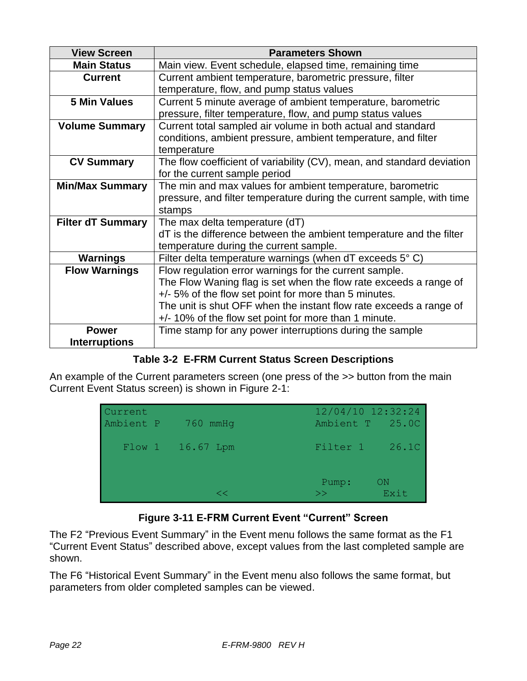| <b>View Screen</b>                                         | <b>Parameters Shown</b>                                                |
|------------------------------------------------------------|------------------------------------------------------------------------|
| <b>Main Status</b>                                         | Main view. Event schedule, elapsed time, remaining time                |
| <b>Current</b>                                             | Current ambient temperature, barometric pressure, filter               |
|                                                            | temperature, flow, and pump status values                              |
| <b>5 Min Values</b>                                        | Current 5 minute average of ambient temperature, barometric            |
|                                                            | pressure, filter temperature, flow, and pump status values             |
| <b>Volume Summary</b>                                      | Current total sampled air volume in both actual and standard           |
|                                                            | conditions, ambient pressure, ambient temperature, and filter          |
|                                                            | temperature                                                            |
| <b>CV Summary</b>                                          | The flow coefficient of variability (CV), mean, and standard deviation |
|                                                            | for the current sample period                                          |
| <b>Min/Max Summary</b>                                     | The min and max values for ambient temperature, barometric             |
|                                                            | pressure, and filter temperature during the current sample, with time  |
|                                                            | stamps                                                                 |
| <b>Filter dT Summary</b><br>The max delta temperature (dT) |                                                                        |
|                                                            | dT is the difference between the ambient temperature and the filter    |
|                                                            | temperature during the current sample.                                 |
| <b>Warnings</b>                                            | Filter delta temperature warnings (when $dT$ exceeds $5^{\circ}$ C)    |
| <b>Flow Warnings</b>                                       | Flow regulation error warnings for the current sample.                 |
|                                                            | The Flow Waning flag is set when the flow rate exceeds a range of      |
|                                                            | +/- 5% of the flow set point for more than 5 minutes.                  |
|                                                            | The unit is shut OFF when the instant flow rate exceeds a range of     |
|                                                            | +/-10% of the flow set point for more than 1 minute.                   |
| <b>Power</b>                                               | Time stamp for any power interruptions during the sample               |
| <b>Interruptions</b>                                       |                                                                        |

#### **Table 3-2 E-FRM Current Status Screen Descriptions**

<span id="page-21-0"></span>An example of the Current parameters screen (one press of the >> button from the main Current Event Status screen) is shown in [Figure 2-1](#page-9-0):

| Current<br>Ambient P | $760$ mmHq       | $12/04/10$ $12:32:24$<br>Ambient T 25.0C |            |
|----------------------|------------------|------------------------------------------|------------|
|                      | Flow 1 16.67 Lpm | Filter 1 26.10                           |            |
|                      | <∠               | Pump:<br>$>>$ .                          | ON<br>Exit |

# **Figure 3-11 E-FRM Current Event "Current" Screen**

The F2 "Previous Event Summary" in the Event menu follows the same format as the F1 "Current Event Status" described above, except values from the last completed sample are shown.

The F6 "Historical Event Summary" in the Event menu also follows the same format, but parameters from older completed samples can be viewed.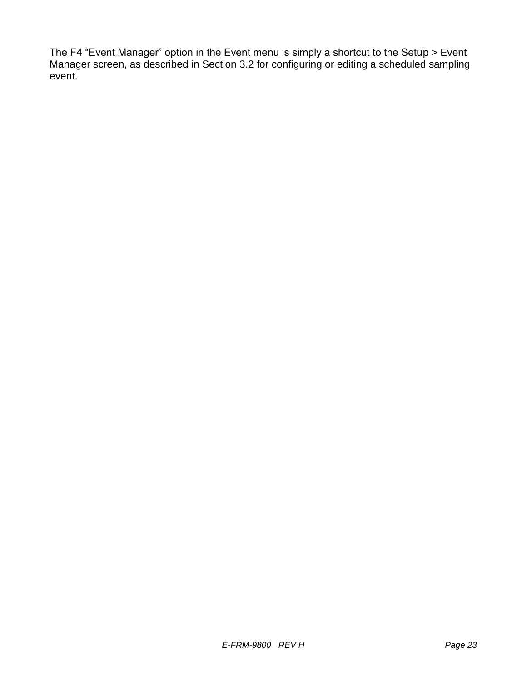The F4 "Event Manager" option in the Event menu is simply a shortcut to the Setup > Event Manager screen, as described in Section 3.2 for configuring or editing a scheduled sampling event.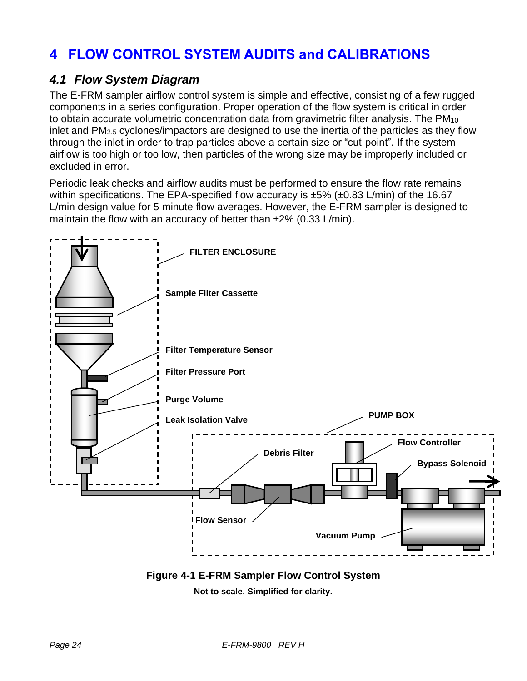# **4 FLOW CONTROL SYSTEM AUDITS and CALIBRATIONS**

### *4.1 Flow System Diagram*

The E-FRM sampler airflow control system is simple and effective, consisting of a few rugged components in a series configuration. Proper operation of the flow system is critical in order to obtain accurate volumetric concentration data from gravimetric filter analysis. The PM<sub>10</sub> inlet and PM2.5 cyclones/impactors are designed to use the inertia of the particles as they flow through the inlet in order to trap particles above a certain size or "cut-point". If the system airflow is too high or too low, then particles of the wrong size may be improperly included or excluded in error.

Periodic leak checks and airflow audits must be performed to ensure the flow rate remains within specifications. The EPA-specified flow accuracy is  $\pm 5\%$  ( $\pm 0.83$  L/min) of the 16.67 L/min design value for 5 minute flow averages. However, the E-FRM sampler is designed to maintain the flow with an accuracy of better than  $\pm 2\%$  (0.33 L/min).



**Figure 4-1 E-FRM Sampler Flow Control System**

**Not to scale. Simplified for clarity.**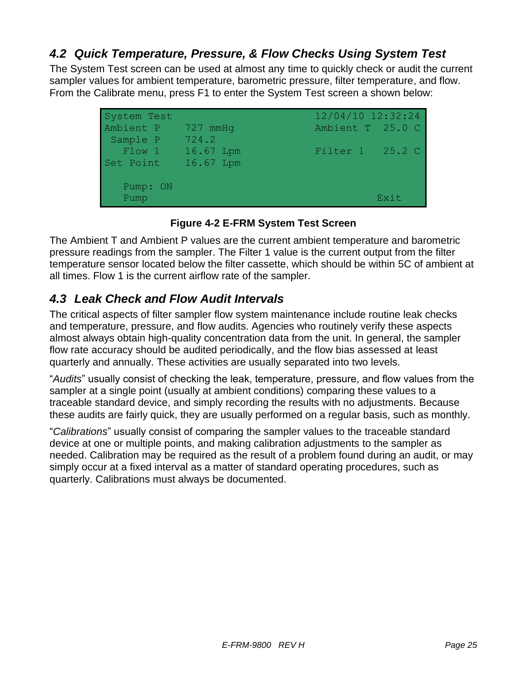# *4.2 Quick Temperature, Pressure, & Flow Checks Using System Test*

The System Test screen can be used at almost any time to quickly check or audit the current sampler values for ambient temperature, barometric pressure, filter temperature, and flow. From the Calibrate menu, press F1 to enter the System Test screen a shown below:

| System Test |            | $12/04/10$ 12:32:24 |      |
|-------------|------------|---------------------|------|
| Ambient P   | $727$ mmHq | Ambient T 25.0 C    |      |
| Sample P    | 724.2      |                     |      |
| Flow 1      | 16.67 Lpm  | Filter 1 25.2 C     |      |
| Set Point   | 16.67 Lpm  |                     |      |
|             |            |                     |      |
| Pump: ON    |            |                     |      |
| Pump        |            |                     | Exit |

**Figure 4-2 E-FRM System Test Screen**

The Ambient T and Ambient P values are the current ambient temperature and barometric pressure readings from the sampler. The Filter 1 value is the current output from the filter temperature sensor located below the filter cassette, which should be within 5C of ambient at all times. Flow 1 is the current airflow rate of the sampler.

# *4.3 Leak Check and Flow Audit Intervals*

The critical aspects of filter sampler flow system maintenance include routine leak checks and temperature, pressure, and flow audits. Agencies who routinely verify these aspects almost always obtain high-quality concentration data from the unit. In general, the sampler flow rate accuracy should be audited periodically, and the flow bias assessed at least quarterly and annually. These activities are usually separated into two levels.

"*Audits*" usually consist of checking the leak, temperature, pressure, and flow values from the sampler at a single point (usually at ambient conditions) comparing these values to a traceable standard device, and simply recording the results with no adjustments. Because these audits are fairly quick, they are usually performed on a regular basis, such as monthly.

"*Calibrations*" usually consist of comparing the sampler values to the traceable standard device at one or multiple points, and making calibration adjustments to the sampler as needed. Calibration may be required as the result of a problem found during an audit, or may simply occur at a fixed interval as a matter of standard operating procedures, such as quarterly. Calibrations must always be documented.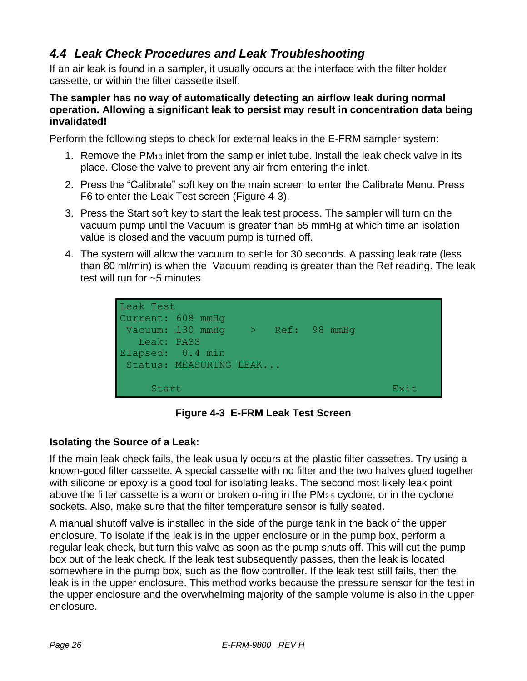# *4.4 Leak Check Procedures and Leak Troubleshooting*

If an air leak is found in a sampler, it usually occurs at the interface with the filter holder cassette, or within the filter cassette itself.

#### **The sampler has no way of automatically detecting an airflow leak during normal operation. Allowing a significant leak to persist may result in concentration data being invalidated!**

Perform the following steps to check for external leaks in the E-FRM sampler system:

- 1. Remove the PM<sup>10</sup> inlet from the sampler inlet tube. Install the leak check valve in its place. Close the valve to prevent any air from entering the inlet.
- 2. Press the "Calibrate" soft key on the main screen to enter the Calibrate Menu. Press F6 to enter the Leak Test screen ([Figure 4-3](#page-25-0)).
- 3. Press the Start soft key to start the leak test process. The sampler will turn on the vacuum pump until the Vacuum is greater than 55 mmHg at which time an isolation value is closed and the vacuum pump is turned off.
- 4. The system will allow the vacuum to settle for 30 seconds. A passing leak rate (less than 80 ml/min) is when the Vacuum reading is greater than the Ref reading. The leak test will run for ~5 minutes



**Figure 4-3 E-FRM Leak Test Screen**

#### <span id="page-25-0"></span>**Isolating the Source of a Leak:**

If the main leak check fails, the leak usually occurs at the plastic filter cassettes. Try using a known-good filter cassette. A special cassette with no filter and the two halves glued together with silicone or epoxy is a good tool for isolating leaks. The second most likely leak point above the filter cassette is a worn or broken o-ring in the PM2.5 cyclone, or in the cyclone sockets. Also, make sure that the filter temperature sensor is fully seated.

A manual shutoff valve is installed in the side of the purge tank in the back of the upper enclosure. To isolate if the leak is in the upper enclosure or in the pump box, perform a regular leak check, but turn this valve as soon as the pump shuts off. This will cut the pump box out of the leak check. If the leak test subsequently passes, then the leak is located somewhere in the pump box, such as the flow controller. If the leak test still fails, then the leak is in the upper enclosure. This method works because the pressure sensor for the test in the upper enclosure and the overwhelming majority of the sample volume is also in the upper enclosure.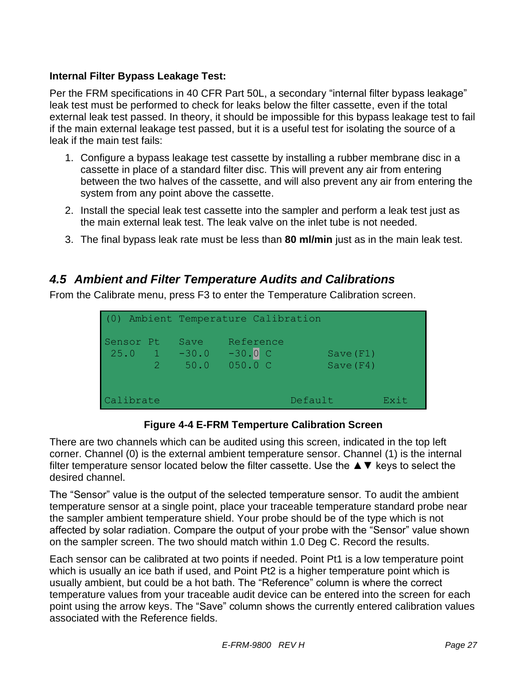#### **Internal Filter Bypass Leakage Test:**

Per the FRM specifications in 40 CFR Part 50L, a secondary "internal filter bypass leakage" leak test must be performed to check for leaks below the filter cassette, even if the total external leak test passed. In theory, it should be impossible for this bypass leakage test to fail if the main external leakage test passed, but it is a useful test for isolating the source of a leak if the main test fails:

- 1. Configure a bypass leakage test cassette by installing a rubber membrane disc in a cassette in place of a standard filter disc. This will prevent any air from entering between the two halves of the cassette, and will also prevent any air from entering the system from any point above the cassette.
- 2. Install the special leak test cassette into the sampler and perform a leak test just as the main external leak test. The leak valve on the inlet tube is not needed.
- 3. The final bypass leak rate must be less than **80 ml/min** just as in the main leak test.

# *4.5 Ambient and Filter Temperature Audits and Calibrations*

From the Calibrate menu, press F3 to enter the Temperature Calibration screen.

|                               |  |              | (0) Ambient Temperature Calibration |                         |  |
|-------------------------------|--|--------------|-------------------------------------|-------------------------|--|
| Sensor Pt<br>$25.0$ 1 $-30.0$ |  | Save<br>50.0 | Reference<br>$-30.0$ C<br>050.0 C   | Save(F1)<br>Save $(F4)$ |  |
| Exit<br>Calibrate<br>Default  |  |              |                                     |                         |  |

**Figure 4-4 E-FRM Temperture Calibration Screen**

There are two channels which can be audited using this screen, indicated in the top left corner. Channel (0) is the external ambient temperature sensor. Channel (1) is the internal filter temperature sensor located below the filter cassette. Use the  $\blacktriangle \blacktriangledown$  keys to select the desired channel.

The "Sensor" value is the output of the selected temperature sensor. To audit the ambient temperature sensor at a single point, place your traceable temperature standard probe near the sampler ambient temperature shield. Your probe should be of the type which is not affected by solar radiation. Compare the output of your probe with the "Sensor" value shown on the sampler screen. The two should match within 1.0 Deg C. Record the results.

Each sensor can be calibrated at two points if needed. Point Pt1 is a low temperature point which is usually an ice bath if used, and Point Pt2 is a higher temperature point which is usually ambient, but could be a hot bath. The "Reference" column is where the correct temperature values from your traceable audit device can be entered into the screen for each point using the arrow keys. The "Save" column shows the currently entered calibration values associated with the Reference fields.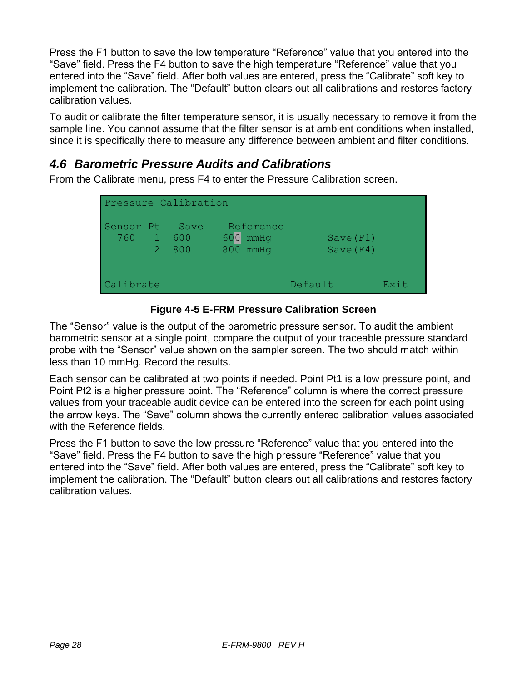Press the F1 button to save the low temperature "Reference" value that you entered into the "Save" field. Press the F4 button to save the high temperature "Reference" value that you entered into the "Save" field. After both values are entered, press the "Calibrate" soft key to implement the calibration. The "Default" button clears out all calibrations and restores factory calibration values.

To audit or calibrate the filter temperature sensor, it is usually necessary to remove it from the sample line. You cannot assume that the filter sensor is at ambient conditions when installed, since it is specifically there to measure any difference between ambient and filter conditions.

# *4.6 Barometric Pressure Audits and Calibrations*

From the Calibrate menu, press F4 to enter the Pressure Calibration screen.

| Pressure Calibration |             |                      |                                      |                      |      |
|----------------------|-------------|----------------------|--------------------------------------|----------------------|------|
| Sensor Pt<br>760     | $2^{\circ}$ | Save<br>- 600<br>800 | Reference<br>600<br>mmHq<br>800 mmHq | Save(F1)<br>Save(F4) |      |
| Calibrate            |             |                      |                                      | Default              | Exit |

**Figure 4-5 E-FRM Pressure Calibration Screen**

The "Sensor" value is the output of the barometric pressure sensor. To audit the ambient barometric sensor at a single point, compare the output of your traceable pressure standard probe with the "Sensor" value shown on the sampler screen. The two should match within less than 10 mmHg. Record the results.

Each sensor can be calibrated at two points if needed. Point Pt1 is a low pressure point, and Point Pt2 is a higher pressure point. The "Reference" column is where the correct pressure values from your traceable audit device can be entered into the screen for each point using the arrow keys. The "Save" column shows the currently entered calibration values associated with the Reference fields.

Press the F1 button to save the low pressure "Reference" value that you entered into the "Save" field. Press the F4 button to save the high pressure "Reference" value that you entered into the "Save" field. After both values are entered, press the "Calibrate" soft key to implement the calibration. The "Default" button clears out all calibrations and restores factory calibration values.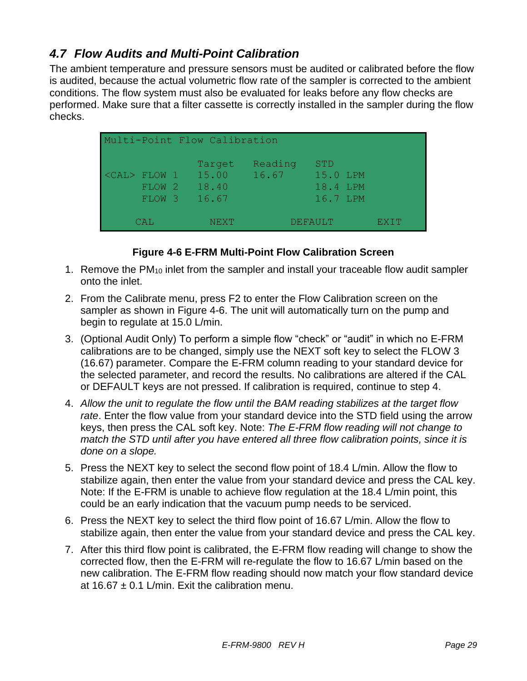# *4.7 Flow Audits and Multi-Point Calibration*

The ambient temperature and pressure sensors must be audited or calibrated before the flow is audited, because the actual volumetric flow rate of the sampler is corrected to the ambient conditions. The flow system must also be evaluated for leaks before any flow checks are performed. Make sure that a filter cassette is correctly installed in the sampler during the flow checks.

| Multi-Point Flow Calibration                          |                                   |                  |                                                |         |  |  |  |
|-------------------------------------------------------|-----------------------------------|------------------|------------------------------------------------|---------|--|--|--|
| <cal> FLOW 1<br/>427<br/><b>FLOW</b><br/>FLOW 3</cal> | Target<br>15.00<br>18.40<br>16.67 | Reading<br>16.67 | <b>STD</b><br>15.0 LPM<br>18.4 LPM<br>16.7 LPM |         |  |  |  |
| CAL                                                   | NEXT                              |                  | DEFAULT                                        | EX L'I' |  |  |  |

#### **Figure 4-6 E-FRM Multi-Point Flow Calibration Screen**

- <span id="page-28-0"></span>1. Remove the PM<sup>10</sup> inlet from the sampler and install your traceable flow audit sampler onto the inlet.
- 2. From the Calibrate menu, press F2 to enter the Flow Calibration screen on the sampler as shown in [Figure 4-6](#page-28-0). The unit will automatically turn on the pump and begin to regulate at 15.0 L/min.
- 3. (Optional Audit Only) To perform a simple flow "check" or "audit" in which no E-FRM calibrations are to be changed, simply use the NEXT soft key to select the FLOW 3 (16.67) parameter. Compare the E-FRM column reading to your standard device for the selected parameter, and record the results. No calibrations are altered if the CAL or DEFAULT keys are not pressed. If calibration is required, continue to step 4.
- 4. *Allow the unit to regulate the flow until the BAM reading stabilizes at the target flow rate*. Enter the flow value from your standard device into the STD field using the arrow keys, then press the CAL soft key. Note: *The E-FRM flow reading will not change to match the STD until after you have entered all three flow calibration points, since it is done on a slope.*
- 5. Press the NEXT key to select the second flow point of 18.4 L/min. Allow the flow to stabilize again, then enter the value from your standard device and press the CAL key. Note: If the E-FRM is unable to achieve flow regulation at the 18.4 L/min point, this could be an early indication that the vacuum pump needs to be serviced.
- 6. Press the NEXT key to select the third flow point of 16.67 L/min. Allow the flow to stabilize again, then enter the value from your standard device and press the CAL key.
- 7. After this third flow point is calibrated, the E-FRM flow reading will change to show the corrected flow, then the E-FRM will re-regulate the flow to 16.67 L/min based on the new calibration. The E-FRM flow reading should now match your flow standard device at 16.67  $\pm$  0.1 L/min. Exit the calibration menu.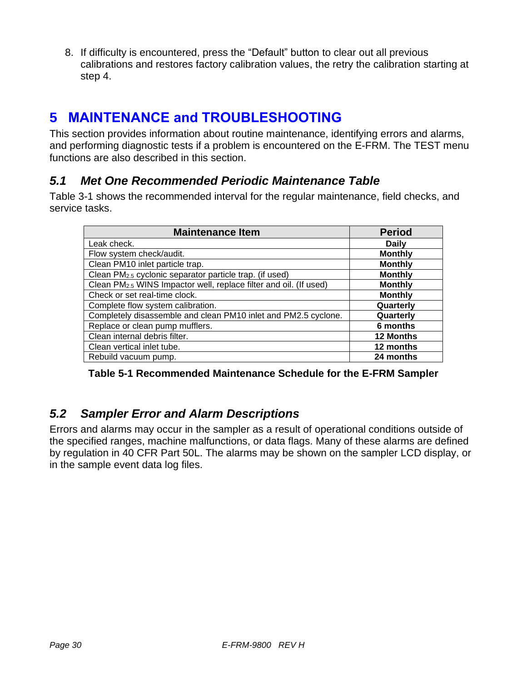8. If difficulty is encountered, press the "Default" button to clear out all previous calibrations and restores factory calibration values, the retry the calibration starting at step 4.

# **5 MAINTENANCE and TROUBLESHOOTING**

This section provides information about routine maintenance, identifying errors and alarms, and performing diagnostic tests if a problem is encountered on the E-FRM. The TEST menu functions are also described in this section.

# *5.1 Met One Recommended Periodic Maintenance Table*

[Table 3-1](#page-17-0) shows the recommended interval for the regular maintenance, field checks, and service tasks.

| <b>Maintenance Item</b>                                                       | <b>Period</b>    |
|-------------------------------------------------------------------------------|------------------|
| Leak check.                                                                   | <b>Daily</b>     |
| Flow system check/audit.                                                      | <b>Monthly</b>   |
| Clean PM10 inlet particle trap.                                               | <b>Monthly</b>   |
| Clean PM <sub>2.5</sub> cyclonic separator particle trap. (if used)           | <b>Monthly</b>   |
| Clean PM <sub>2.5</sub> WINS Impactor well, replace filter and oil. (If used) | <b>Monthly</b>   |
| Check or set real-time clock.                                                 | <b>Monthly</b>   |
| Complete flow system calibration.                                             | Quarterly        |
| Completely disassemble and clean PM10 inlet and PM2.5 cyclone.                | Quarterly        |
| Replace or clean pump mufflers.                                               | 6 months         |
| Clean internal debris filter.                                                 | <b>12 Months</b> |
| Clean vertical inlet tube.                                                    | 12 months        |
| Rebuild vacuum pump.                                                          | 24 months        |

**Table 5-1 Recommended Maintenance Schedule for the E-FRM Sampler**

# *5.2 Sampler Error and Alarm Descriptions*

Errors and alarms may occur in the sampler as a result of operational conditions outside of the specified ranges, machine malfunctions, or data flags. Many of these alarms are defined by regulation in 40 CFR Part 50L. The alarms may be shown on the sampler LCD display, or in the sample event data log files.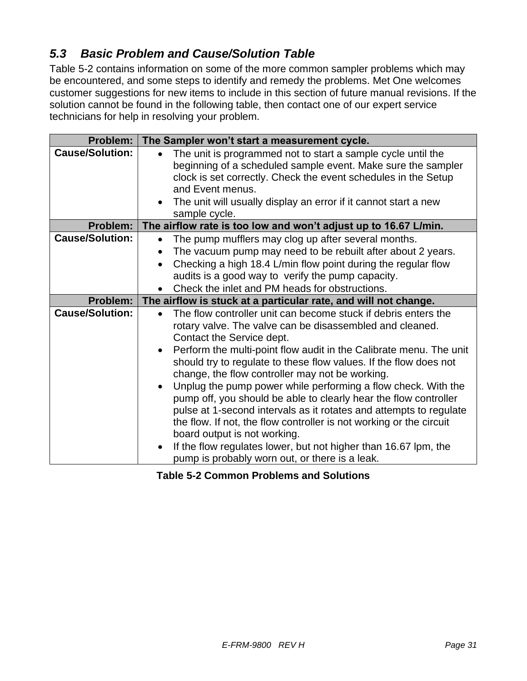# *5.3 Basic Problem and Cause/Solution Table*

[Table 5-2](#page-30-0) contains information on some of the more common sampler problems which may be encountered, and some steps to identify and remedy the problems. Met One welcomes customer suggestions for new items to include in this section of future manual revisions. If the solution cannot be found in the following table, then contact one of our expert service technicians for help in resolving your problem.

| <b>Problem:</b>        | The Sampler won't start a measurement cycle.                                                                                                                                                                                                                                                                                                                                                                                                                                                                                                                                               |
|------------------------|--------------------------------------------------------------------------------------------------------------------------------------------------------------------------------------------------------------------------------------------------------------------------------------------------------------------------------------------------------------------------------------------------------------------------------------------------------------------------------------------------------------------------------------------------------------------------------------------|
| <b>Cause/Solution:</b> | The unit is programmed not to start a sample cycle until the<br>$\bullet$<br>beginning of a scheduled sample event. Make sure the sampler<br>clock is set correctly. Check the event schedules in the Setup<br>and Event menus.<br>The unit will usually display an error if it cannot start a new<br>sample cycle.                                                                                                                                                                                                                                                                        |
| Problem:               | The airflow rate is too low and won't adjust up to 16.67 L/min.                                                                                                                                                                                                                                                                                                                                                                                                                                                                                                                            |
| <b>Cause/Solution:</b> | The pump mufflers may clog up after several months.<br>$\bullet$<br>The vacuum pump may need to be rebuilt after about 2 years.<br>Checking a high 18.4 L/min flow point during the regular flow<br>audits is a good way to verify the pump capacity.<br>Check the inlet and PM heads for obstructions.                                                                                                                                                                                                                                                                                    |
| Problem:               | The airflow is stuck at a particular rate, and will not change.                                                                                                                                                                                                                                                                                                                                                                                                                                                                                                                            |
| <b>Cause/Solution:</b> | The flow controller unit can become stuck if debris enters the<br>rotary valve. The valve can be disassembled and cleaned.<br>Contact the Service dept.<br>Perform the multi-point flow audit in the Calibrate menu. The unit<br>$\bullet$<br>should try to regulate to these flow values. If the flow does not<br>change, the flow controller may not be working.<br>Unplug the pump power while performing a flow check. With the<br>$\bullet$<br>pump off, you should be able to clearly hear the flow controller<br>pulse at 1-second intervals as it rotates and attempts to regulate |
|                        | the flow. If not, the flow controller is not working or the circuit<br>board output is not working.<br>If the flow regulates lower, but not higher than 16.67 lpm, the<br>$\bullet$<br>pump is probably worn out, or there is a leak.                                                                                                                                                                                                                                                                                                                                                      |

<span id="page-30-0"></span>**Table 5-2 Common Problems and Solutions**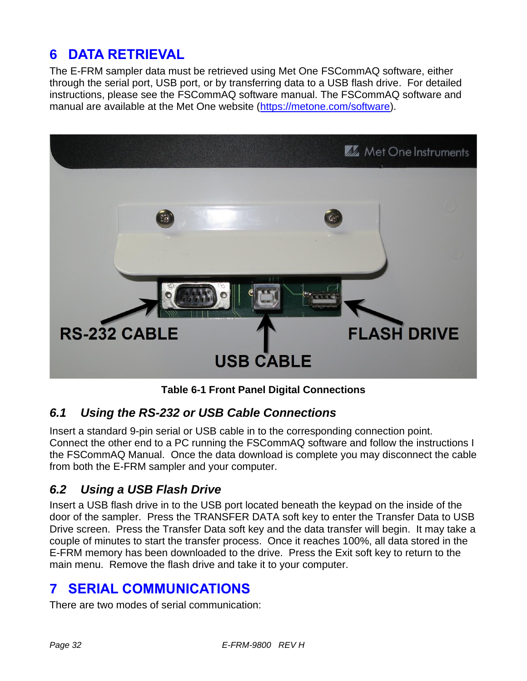# **6 DATA RETRIEVAL**

The E-FRM sampler data must be retrieved using Met One FSCommAQ software, either through the serial port, USB port, or by transferring data to a USB flash drive. For detailed instructions, please see the FSCommAQ software manual. The FSCommAQ software and manual are available at the Met One website [\(https://metone.com/software\)](https://metone.com/software).



**Table 6-1 Front Panel Digital Connections**

# *6.1 Using the RS-232 or USB Cable Connections*

Insert a standard 9-pin serial or USB cable in to the corresponding connection point. Connect the other end to a PC running the FSCommAQ software and follow the instructions I the FSCommAQ Manual. Once the data download is complete you may disconnect the cable from both the E-FRM sampler and your computer.

# *6.2 Using a USB Flash Drive*

Insert a USB flash drive in to the USB port located beneath the keypad on the inside of the door of the sampler. Press the TRANSFER DATA soft key to enter the Transfer Data to USB Drive screen. Press the Transfer Data soft key and the data transfer will begin. It may take a couple of minutes to start the transfer process. Once it reaches 100%, all data stored in the E-FRM memory has been downloaded to the drive. Press the Exit soft key to return to the main menu. Remove the flash drive and take it to your computer.

# **7 SERIAL COMMUNICATIONS**

There are two modes of serial communication: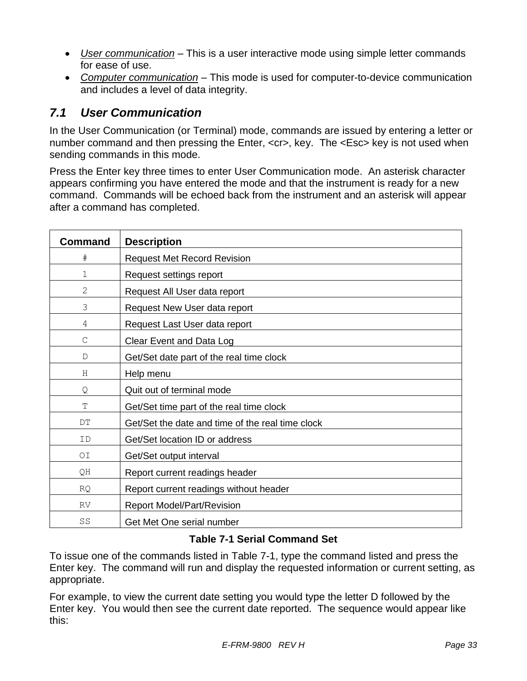- *User communication* This is a user interactive mode using simple letter commands for ease of use.
- *Computer communication* This mode is used for computer-to-device communication and includes a level of data integrity.

# *7.1 User Communication*

In the User Communication (or Terminal) mode, commands are issued by entering a letter or number command and then pressing the Enter, <cr>, key. The <Esc> key is not used when sending commands in this mode.

Press the Enter key three times to enter User Communication mode. An asterisk character appears confirming you have entered the mode and that the instrument is ready for a new command. Commands will be echoed back from the instrument and an asterisk will appear after a command has completed.

| Command        | <b>Description</b>                               |
|----------------|--------------------------------------------------|
| $\#$           | <b>Request Met Record Revision</b>               |
| 1              | Request settings report                          |
| $\overline{2}$ | Request All User data report                     |
| 3              | Request New User data report                     |
| 4              | Request Last User data report                    |
| C              | Clear Event and Data Log                         |
| $\mathbb{D}$   | Get/Set date part of the real time clock         |
| Н              | Help menu                                        |
| Q              | Quit out of terminal mode                        |
| T              | Get/Set time part of the real time clock         |
| DT             | Get/Set the date and time of the real time clock |
| ID             | Get/Set location ID or address                   |
| ΟI             | Get/Set output interval                          |
| QH             | Report current readings header                   |
| <b>RQ</b>      | Report current readings without header           |
| <b>RV</b>      | <b>Report Model/Part/Revision</b>                |
| SS             | Get Met One serial number                        |

#### **Table 7-1 Serial Command Set**

<span id="page-32-0"></span>To issue one of the commands listed in [Table 7-1,](#page-32-0) type the command listed and press the Enter key. The command will run and display the requested information or current setting, as appropriate.

For example, to view the current date setting you would type the letter D followed by the Enter key. You would then see the current date reported. The sequence would appear like this: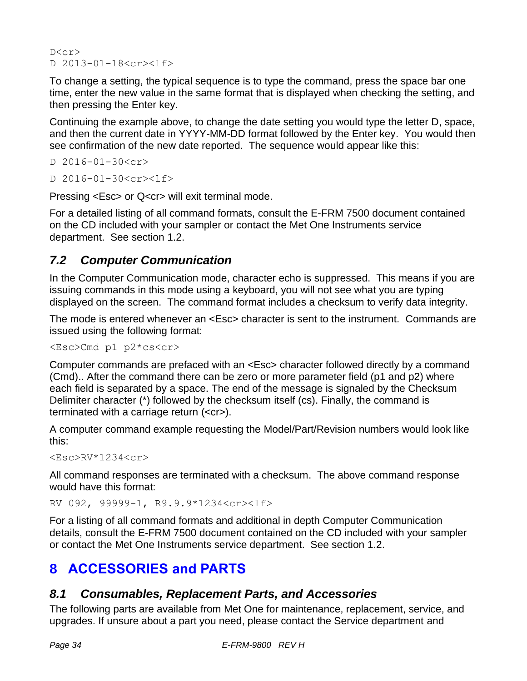$D < c r$ D 2013-01-18<cr><lf>

To change a setting, the typical sequence is to type the command, press the space bar one time, enter the new value in the same format that is displayed when checking the setting, and then pressing the Enter key.

Continuing the example above, to change the date setting you would type the letter D, space, and then the current date in YYYY-MM-DD format followed by the Enter key. You would then see confirmation of the new date reported. The sequence would appear like this:

```
D 2016-01-30<cr>
```
D 2016-01-30<cr><lf>

Pressing <Esc> or Q<cr> will exit terminal mode.

For a detailed listing of all command formats, consult the E-FRM 7500 document contained on the CD included with your sampler or contact the Met One Instruments service department. See section [1.2.](#page-2-0)

# *7.2 Computer Communication*

In the Computer Communication mode, character echo is suppressed. This means if you are issuing commands in this mode using a keyboard, you will not see what you are typing displayed on the screen. The command format includes a checksum to verify data integrity.

The mode is entered whenever an <Esc> character is sent to the instrument. Commands are issued using the following format:

<Esc>Cmd p1 p2\*cs<cr>

Computer commands are prefaced with an <Esc> character followed directly by a command (Cmd).. After the command there can be zero or more parameter field (p1 and p2) where each field is separated by a space. The end of the message is signaled by the Checksum Delimiter character (\*) followed by the checksum itself (cs). Finally, the command is terminated with a carriage return (<cr>).

A computer command example requesting the Model/Part/Revision numbers would look like this:

<Esc>RV\*1234<cr>

All command responses are terminated with a checksum. The above command response would have this format:

RV 092, 99999-1, R9.9.9\*1234<cr><lf>

For a listing of all command formats and additional in depth Computer Communication details, consult the E-FRM 7500 document contained on the CD included with your sampler or contact the Met One Instruments service department. See section [1.2.](#page-2-0)

# **8 ACCESSORIES and PARTS**

# *8.1 Consumables, Replacement Parts, and Accessories*

The following parts are available from Met One for maintenance, replacement, service, and upgrades. If unsure about a part you need, please contact the Service department and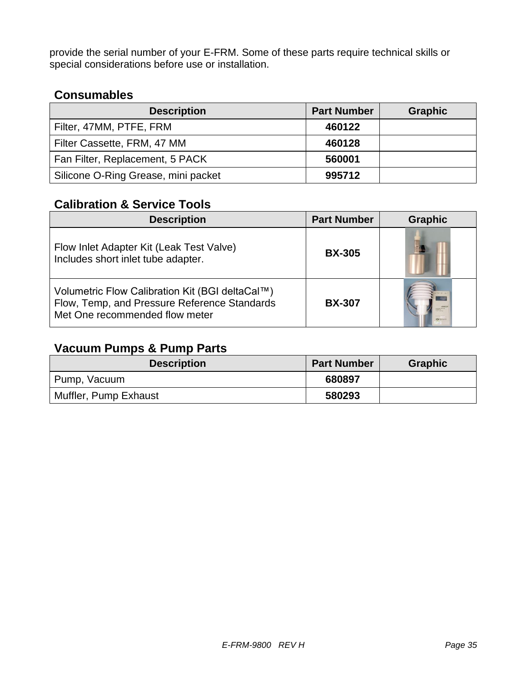provide the serial number of your E-FRM. Some of these parts require technical skills or special considerations before use or installation.

# **Consumables**

| <b>Description</b>                  | <b>Part Number</b> | <b>Graphic</b> |
|-------------------------------------|--------------------|----------------|
| Filter, 47MM, PTFE, FRM             | 460122             |                |
| Filter Cassette, FRM, 47 MM         | 460128             |                |
| Fan Filter, Replacement, 5 PACK     | 560001             |                |
| Silicone O-Ring Grease, mini packet | 995712             |                |

### **Calibration & Service Tools**

| <b>Description</b>                                                                                                                | <b>Part Number</b> | <b>Graphic</b>     |
|-----------------------------------------------------------------------------------------------------------------------------------|--------------------|--------------------|
| Flow Inlet Adapter Kit (Leak Test Valve)<br>Includes short inlet tube adapter.                                                    | <b>BX-305</b>      |                    |
| Volumetric Flow Calibration Kit (BGI deltaCal™)<br>Flow, Temp, and Pressure Reference Standards<br>Met One recommended flow meter | <b>BX-307</b>      | -------<br>Otheran |

# **Vacuum Pumps & Pump Parts**

| <b>Description</b>    | <b>Part Number</b> | <b>Graphic</b> |
|-----------------------|--------------------|----------------|
| Pump, Vacuum          | 680897             |                |
| Muffler, Pump Exhaust | 580293             |                |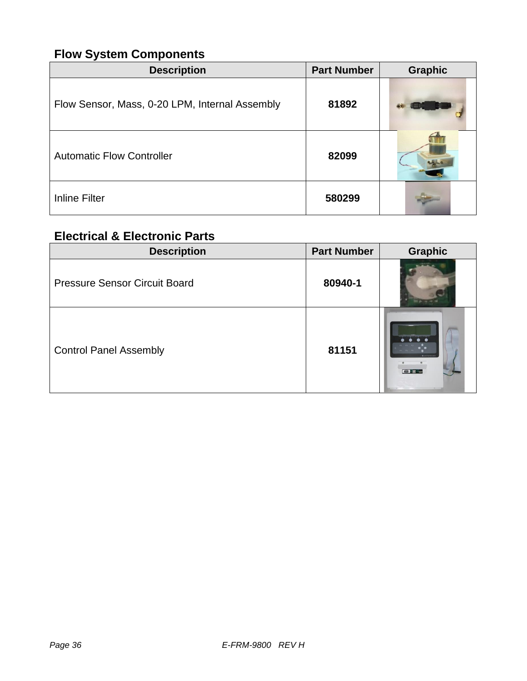# **Flow System Components**

| <b>Description</b>                             | <b>Part Number</b> | <b>Graphic</b> |
|------------------------------------------------|--------------------|----------------|
| Flow Sensor, Mass, 0-20 LPM, Internal Assembly | 81892              |                |
| <b>Automatic Flow Controller</b>               | 82099              |                |
| <b>Inline Filter</b>                           | 580299             |                |

# **Electrical & Electronic Parts**

| <b>Description</b>                   | <b>Part Number</b> | <b>Graphic</b>       |
|--------------------------------------|--------------------|----------------------|
| <b>Pressure Sensor Circuit Board</b> | 80940-1            |                      |
| <b>Control Panel Assembly</b>        | 81151              | E McGalaysen<br>$ -$ |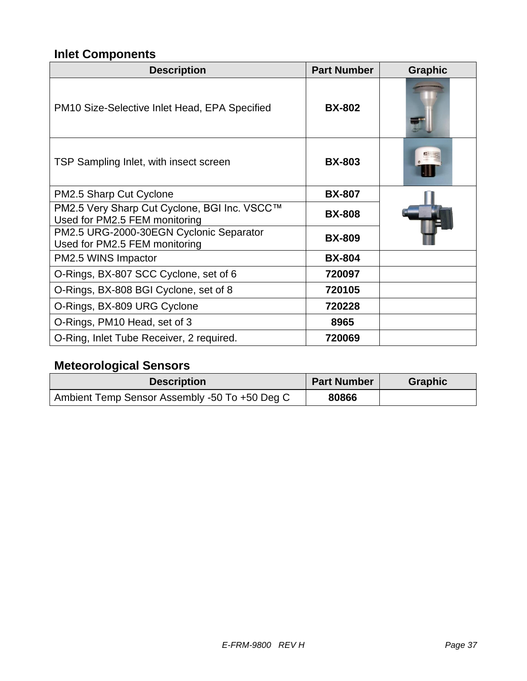# **Inlet Components**

| <b>Description</b>                                                            | <b>Part Number</b> | <b>Graphic</b> |
|-------------------------------------------------------------------------------|--------------------|----------------|
| PM <sub>10</sub> Size-Selective Inlet Head, EPA Specified                     | <b>BX-802</b>      |                |
| TSP Sampling Inlet, with insect screen                                        | <b>BX-803</b>      |                |
| PM2.5 Sharp Cut Cyclone                                                       | <b>BX-807</b>      |                |
| PM2.5 Very Sharp Cut Cyclone, BGI Inc. VSCC™<br>Used for PM2.5 FEM monitoring | <b>BX-808</b>      |                |
| PM2.5 URG-2000-30EGN Cyclonic Separator<br>Used for PM2.5 FEM monitoring      | <b>BX-809</b>      |                |
| PM2.5 WINS Impactor                                                           | <b>BX-804</b>      |                |
| O-Rings, BX-807 SCC Cyclone, set of 6                                         | 720097             |                |
| O-Rings, BX-808 BGI Cyclone, set of 8                                         | 720105             |                |
| O-Rings, BX-809 URG Cyclone                                                   | 720228             |                |
| O-Rings, PM10 Head, set of 3                                                  | 8965               |                |
| O-Ring, Inlet Tube Receiver, 2 required.                                      | 720069             |                |

# **Meteorological Sensors**

| <b>Description</b>                            | <b>Part Number</b> | <b>Graphic</b> |
|-----------------------------------------------|--------------------|----------------|
| Ambient Temp Sensor Assembly -50 To +50 Deg C | 80866              |                |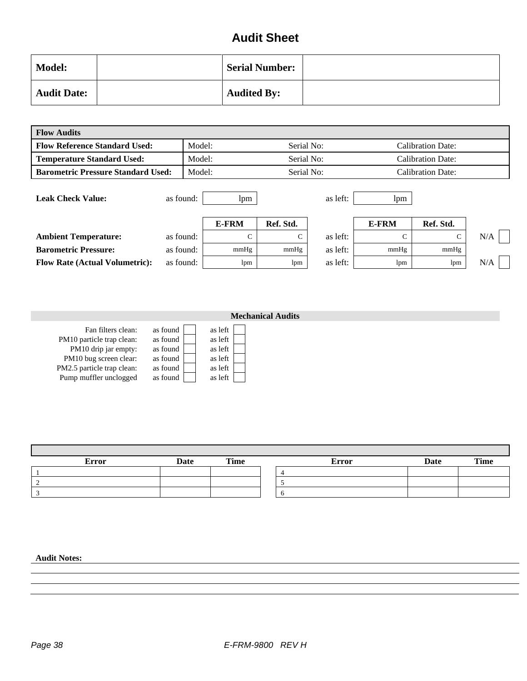# **Audit Sheet**

| <b>Model:</b>      | <b>Serial Number:</b> |  |
|--------------------|-----------------------|--|
| <b>Audit Date:</b> | <b>Audited By:</b>    |  |

| <b>Flow Audits</b>                        |           |                      |              |                          |       |                          |     |  |
|-------------------------------------------|-----------|----------------------|--------------|--------------------------|-------|--------------------------|-----|--|
| <b>Flow Reference Standard Used:</b>      | Model:    |                      | Serial No:   |                          |       | <b>Calibration Date:</b> |     |  |
| <b>Temperature Standard Used:</b>         |           | Model:<br>Serial No: |              | <b>Calibration Date:</b> |       |                          |     |  |
| <b>Barometric Pressure Standard Used:</b> | Model:    |                      | Serial No:   |                          |       | <b>Calibration Date:</b> |     |  |
| <b>Leak Check Value:</b>                  | as found: | lpm                  |              | as left:                 | lpm   |                          |     |  |
|                                           |           | <b>E-FRM</b>         | Ref. Std.    |                          | E-FRM | Ref. Std.                |     |  |
| <b>Ambient Temperature:</b>               | as found: | $\mathsf{C}$         | $\mathsf{C}$ | as left:                 | Ċ     | $\mathsf{C}$             | N/A |  |
| <b>Barometric Pressure:</b>               | as found: | mmHg                 | mmHg         | as left:                 | mmHg  | mmHg                     |     |  |
| <b>Flow Rate (Actual Volumetric):</b>     | as found: | lpm                  | lpm          | as left:                 | lpm   | lpm                      | N/A |  |

|                                                                         |                                  | <b>Mechanical Audits</b>      |  |
|-------------------------------------------------------------------------|----------------------------------|-------------------------------|--|
| Fan filters clean:<br>PM10 particle trap clean:<br>PM10 drip jar empty: | as found<br>as found<br>as found | as left<br>as left<br>as left |  |
| PM10 bug screen clear:                                                  | as found                         | as left                       |  |
| PM2.5 particle trap clean:                                              | as found                         | as left                       |  |
| Pump muffler unclogged                                                  | as found                         | as left                       |  |

| <b>Error</b> | <b>Date</b> | Time | <b>Error</b> | Date | <b>Time</b> |
|--------------|-------------|------|--------------|------|-------------|
|              |             |      |              |      |             |
|              |             |      |              |      |             |
|              |             |      |              |      |             |

#### **Audit Notes:**